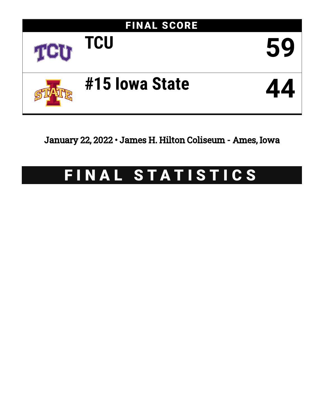

January 22, 2022 • James H. Hilton Coliseum - Ames, Iowa

# FINAL STATISTICS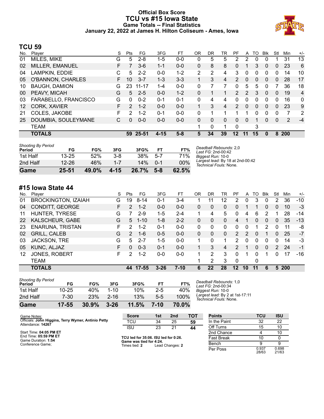### **Official Box Score TCU vs #15 Iowa State Game Totals -- Final Statistics January 22, 2022 at James H. Hilton Coliseum - Ames, Iowa**



## **TCU 59**

| No. | Player               | S  | <b>Pts</b>    | FG        | 3FG      | FТ      | OR          | DR | TR       | PF             | A        | TO | <b>B</b> lk    | Stl      | Min | $+/-$          |
|-----|----------------------|----|---------------|-----------|----------|---------|-------------|----|----------|----------------|----------|----|----------------|----------|-----|----------------|
| 01  | MILES, MIKE          | G  | 5             | $2 - 8$   | $1-5$    | $0-0$   | 0           | 5  | 5        | 2              | 2        | 0  | 0              |          | 31  | 13             |
| 02  | MILLER, EMANUEL      | F. |               | $3-6$     | $1 - 1$  | $0 - 0$ | $\Omega$    | 8  | 8        | 0              |          | 3  | $\overline{0}$ | 0        | 23  | 6              |
| 04  | LAMPKIN, EDDIE       | С  | 5             | $2 - 2$   | $0 - 0$  | $1 - 2$ | 2           | 2  | 4        | 3.             | 0        | 0  | 0              | O        | 14  | 10             |
| 05  | O'BANNON, CHARLES    | F. | 10            | $3 - 7$   | $1 - 3$  | $3 - 3$ | $\mathbf 1$ | 3  | 4        | $\mathcal{P}$  | $\Omega$ | 0  | $\mathbf{0}$   | $\Omega$ | 28  | 17             |
| 10  | <b>BAUGH, DAMION</b> | G  | 23            | $11 - 17$ | $1 - 4$  | $0 - 0$ | $\Omega$    | 7  |          | $\Omega$       | 5        | 5  | 0              | 7        | 36  | 18             |
| 00  | PEAVY, MICAH         | G  | 5             | $2 - 5$   | $0 - 0$  | $1 - 2$ | $\Omega$    |    |          | $\mathcal{P}$  | 2        | 3  | $\Omega$       | $\Omega$ | 19  | $\overline{4}$ |
| 03  | FARABELLO, FRANCISCO | G  | 0             | $0 - 2$   | $0 - 1$  | $0 - 1$ | $\Omega$    | 4  | 4        | 0              | 0        | 0  | 0              | 0        | 16  | $\mathbf{0}$   |
| 12  | CORK, XAVIER         | F  | $\mathcal{P}$ | $1 - 2$   | $0 - 0$  | $0 - 0$ | 1.          | 3  | 4        | $\overline{2}$ | $\Omega$ | 0  | $\mathbf{0}$   | 0        | 23  | 9              |
| 21  | COLES, JAKOBE        | F  | $\mathcal{P}$ | $1 - 2$   | $0 - 1$  | $0 - 0$ | 0           |    |          |                |          | 0  | 0              | 0        |     | 2              |
| 25  | DOUMBIA, SOULEYMANE  | С  | 0             | $0 - 0$   | $0 - 0$  | $0 - 0$ | 0           | 0  | $\Omega$ | 0              | 0        |    | 0              | 0        | 2   | $-4$           |
|     | TEAM                 |    |               |           |          |         | 1           | 0  | 1        | 0              |          | 3  |                |          |     |                |
|     | <b>TOTALS</b>        |    | 59            | $25 - 51$ | $4 - 15$ | $5 - 8$ | 5           | 34 | 39       | 12             | 11       | 15 | 0              | 8        | 200 |                |

| <b>Shooting By Period</b><br>Period | FG        | FG%   | 3FG      | 3FG%  | FT      | FT%   | Deadball Rebounds: 2,0<br>Last FG: 2nd-00:42               |
|-------------------------------------|-----------|-------|----------|-------|---------|-------|------------------------------------------------------------|
| 1st Half                            | $13 - 25$ | 52%   | $3 - 8$  | 38%   | $5-7$   | 71%   | Biggest Run: 10-0                                          |
| 2nd Half                            | $12 - 26$ | 46%   | $1 - 7$  | 14%   | $0 - 1$ | 00%   | Largest lead: By 18 at 2nd-00:42<br>Technical Fouls: None. |
| Game                                | 25-51     | 49.0% | $4 - 15$ | 26.7% | $5-8$   | 62.5% |                                                            |

# **#15 Iowa State 44**

| No. | Plaver                     | S  | Pts           | FG       | 3FG      | FT       | OR | DR       | TR       | PF      | A        | TO       | <b>B</b> lk | Stl            | Min | $+/-$ |
|-----|----------------------------|----|---------------|----------|----------|----------|----|----------|----------|---------|----------|----------|-------------|----------------|-----|-------|
| 01  | <b>BROCKINGTON, IZAIAH</b> | G  | 19            | $8 - 14$ | 0-1      | $3 - 4$  |    | 11       | 12       | 2       | 0        | 3        | 0           | 2              | 36  | $-10$ |
| 04  | CONDITT, GEORGE            | F. | $\mathcal{P}$ | $1 - 2$  | $0 - 0$  | $0 - 0$  | 0  | 0        | $\Omega$ | 0       |          |          | 0           | 0              | 10  | $-3$  |
| 11  | HUNTER, TYRESE             | G  | 7             | $2-9$    | $1-5$    | $2 - 4$  | 1. | 4        | 5        | 0       | 4        | 6        | 2           |                | 28  | $-14$ |
| 22  | <b>KALSCHEUR, GABE</b>     | G  | $5^{\circ}$   | $1 - 10$ | $1 - 8$  | $2 - 2$  | 0  | 0        | $\Omega$ | 4       |          | 0        | $\Omega$    | $\Omega$       | 35  | $-13$ |
| 23  | <b>ENARUNA, TRISTAN</b>    | F. | 2             | $1 - 2$  | $0 - 1$  | $0 - 0$  | 0  | 0        | $\Omega$ | 0       | 0        | 1        | 2           | 0              | 11  | -8    |
| 02  | <b>GRILL, CALEB</b>        | G  | $\mathcal{P}$ | $1 - 6$  | $0 - 5$  | $0 - 0$  | 0  | $\Omega$ | $\Omega$ | 2       | 2        | $\Omega$ | 1           | $\Omega$       | 25  | $-7$  |
| 03  | <b>JACKSON, TRE</b>        | G  | 5             | $2 - 7$  | $1-5$    | $0-0$    |    | 0        | 1        | 2       | $\Omega$ | 0        | 0           | 0              | 14  | -3    |
| 05  | KUNC, ALJAZ                | F  | $\Omega$      | $0 - 3$  | $0 - 1$  | $0 - 0$  |    | 3        | 4        | 2       |          | 0        | 0           | $\overline{2}$ | 24  | $-1$  |
| 12  | <b>JONES, ROBERT</b>       | F. | 2             | $1 - 2$  | $0 - 0$  | $0 - 0$  |    | 2        | 3        | 0       |          | 0        |             | 0              | 17  | -16   |
|     | TEAM                       |    |               |          |          |          |    | 2        | 3        | 0       |          | 0        |             |                |     |       |
|     | <b>TOTALS</b>              |    |               | 44 17-55 | $3 - 26$ | $7 - 10$ | 6  | 22       | 28       | $12 \,$ | 10       | 11       | 6           | 5.             | 200 |       |

| Game                                | $17 - 55$ | 30.9%      | $3 - 26$ | 11.5% | 7-10    | 70.0% |
|-------------------------------------|-----------|------------|----------|-------|---------|-------|
| 2nd Half                            | 7-30      | <b>23%</b> | $2 - 16$ | 13%   | 5-5     | 100%  |
| 1st Half                            | $10 - 25$ | 40%        | $1 - 10$ | 10%   | $2 - 5$ | 40%   |
| <b>Shooting By Period</b><br>Period | FG        | FG%        | 3FG      | 3FG%  | FT      | FT%   |

*Deadball Rebounds:* 1,0 *Last FG:* 2nd-00:34 *Biggest Run:* 10-0 *Largest lead:* By 2 at 1st-17:11 *Technical Fouls:* None.

| Game Notes:                                                              | <b>Score</b>                             | 1st | 2 <sub>nd</sub> | тот | <b>Points</b>     | <b>TCU</b>     | <b>ISU</b>     |
|--------------------------------------------------------------------------|------------------------------------------|-----|-----------------|-----|-------------------|----------------|----------------|
| Officials: John Higgins, Terry Wymer, Antinio Petty<br>Attendance: 14267 | TCU                                      | 34  | 25              | 59  | In the Paint      | 32             | 22             |
|                                                                          | ISU                                      | 23  | 21              | 44  | Off Turns         | 15             | 10             |
| Start Time: 04:05 PM ET                                                  |                                          |     |                 |     | 2nd Chance        |                | 10             |
| End Time: 05:59 PM ET<br>Game Duration: 1:54                             | TCU led for 35:06. ISU led for 0:26.     |     |                 |     | <b>Fast Break</b> | 10             |                |
| Conference Game:                                                         | Game was tied for 4:24.<br>Times tied: 2 |     | Lead Changes: 2 |     | Bench             |                |                |
|                                                                          |                                          |     |                 |     | Per Poss          | 0.937<br>28/63 | 0.698<br>21/63 |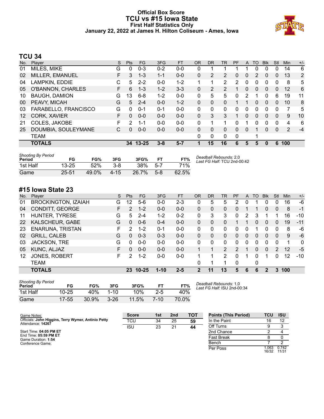### **Official Box Score TCU vs #15 Iowa State First Half Statistics Only January 22, 2022 at James H. Hilton Coliseum - Ames, Iowa**



# **TCU 34**

| No.             | Plaver                   | S  | <b>Pts</b> | FG       | 3FG     | <b>FT</b> | <b>OR</b> | <b>DR</b> | TR       | PF             | A        | TO       | <b>Blk</b> | Stl      | Min | $+/-$ |
|-----------------|--------------------------|----|------------|----------|---------|-----------|-----------|-----------|----------|----------------|----------|----------|------------|----------|-----|-------|
| 01              | MILES, MIKE              | G  | 0          | $0 - 3$  | $0 - 2$ | $0 - 0$   | 0         |           |          |                |          | 0        | 0          | 0        | 14  | 6     |
| 02              | MILLER, EMANUEL          | F  | 3          | $1 - 3$  | $1 - 1$ | $0 - 0$   | 0         | 2         | 2        | 0              | 0        | 2        | 0          | 0        | 13  | 2     |
| 04              | LAMPKIN, EDDIE           | С  | 5          | $2 - 2$  | $0 - 0$ | $1-2$     | 1         | 1         | 2        | $\overline{2}$ | 0        | 0        | 0          | 0        | 8   | 5     |
| 05              | <b>O'BANNON, CHARLES</b> | F. | 6          | $1 - 3$  | $1 - 2$ | $3 - 3$   | 0         | 2         | 2        | 1              | 0        | 0        | $\Omega$   | $\Omega$ | 12  | 6     |
| 10              | <b>BAUGH, DAMION</b>     | G  | 13         | $6 - 8$  | $1-2$   | $0 - 0$   | 0         | 5         | 5.       | 0              | 2        |          | 0          | 6        | 19  | 11    |
| 00              | PEAVY, MICAH             | G  | 5          | $2 - 4$  | $0 - 0$ | $1 - 2$   | $\Omega$  | 0         | $\Omega$ |                |          | $\Omega$ | $\Omega$   | $\Omega$ | 10  | 8     |
| 03              | FARABELLO, FRANCISCO     | G  | 0          | $0 - 1$  | $0 - 1$ | $0 - 0$   | 0         | 0         | $\Omega$ | 0              | 0        | 0        | 0          | 0        | 7   | 5     |
| 12 <sup>°</sup> | CORK, XAVIER             | F  | $\Omega$   | $0 - 0$  | $0 - 0$ | $0 - 0$   | $\Omega$  | 3         | 3        |                | $\Omega$ | $\Omega$ | 0          | 0        | 9   | 10    |
| 21              | COLES, JAKOBE            | F  | 2          | $1 - 1$  | $0 - 0$ | $0 - 0$   | $\Omega$  | 1         |          | 0              | 1        | 0        | 0          | 0        | 4   | 6     |
| 25              | DOUMBIA, SOULEYMANE      | С  | 0          | $0 - 0$  | $0 - 0$ | $0 - 0$   | 0         | 0         | 0        | $\Omega$       | 0        |          | 0          | $\Omega$ | 2   | $-4$  |
|                 | <b>TEAM</b>              |    |            |          |         |           | 0         | 0         | 0        | $\Omega$       |          |          |            |          |     |       |
|                 | <b>TOTALS</b>            |    |            | 34 13-25 | 3-8     | $5 - 7$   |           | 15        | 16       | 6              | 5        | 5        | 0          | 6        | 100 |       |

| <b>Shooting By Period</b><br>Period | FG        | FG%   | 3FG  | 3FG%  | <b>FT</b> | FT%   | Deadball Rebounds: 2,0<br>Last FG Half: TCU 2nd-00:42 |
|-------------------------------------|-----------|-------|------|-------|-----------|-------|-------------------------------------------------------|
| 1st Half                            | $13 - 25$ | 52%   | 3-8  | 38%   | $5-7$     | 71%   |                                                       |
| Game                                | $25 - 51$ | 49.0% | 4-15 | 26.7% | $5-8$     | 62.5% |                                                       |

# **#15 Iowa State 23**

| No. | Plaver                     | S  | <b>Pts</b>    | <b>FG</b> | 3FG      | <b>FT</b> | <b>OR</b>      | DR | TR            | PF            | A            | TO | <b>B</b> lk  | Stl           | Min | $+/-$        |
|-----|----------------------------|----|---------------|-----------|----------|-----------|----------------|----|---------------|---------------|--------------|----|--------------|---------------|-----|--------------|
| 01  | <b>BROCKINGTON, IZAIAH</b> | G  | 12            | $5-6$     | $0 - 0$  | $2 - 3$   | 0              | 5  | 5             |               | 0            |    | 0            | $\Omega$      | 16  | -6           |
| 04  | CONDITT, GEORGE            | F. | $\mathcal{P}$ | $1 - 2$   | $0 - 0$  | $0 - 0$   | 0              | 0  | 0             | 0             |              |    | $\mathbf{0}$ | $\Omega$      | 8   | $-1$         |
| 11  | HUNTER, TYRESE             | G  | 5.            | $2 - 4$   | $1 - 2$  | $0 - 2$   | 0              | 3  | 3             | $\Omega$      | 2            | 3  |              |               | 16  | $-10$        |
| 22  | KALSCHEUR, GABE            | G  | 0             | $0 - 6$   | $0 - 4$  | $0 - 0$   | 0              | 0  | 0             |               | 1            | 0  | $\Omega$     | $\Omega$      | 19  | $-11$        |
| 23  | <b>ENARUNA, TRISTAN</b>    | F  | 2             | $1 - 2$   | $0 - 1$  | $0 - 0$   | 0              | 0  | $\Omega$      | 0             | 0            | 1  | $\Omega$     | $\Omega$      | 8   | -6           |
| 02  | <b>GRILL, CALEB</b>        | G  | 0             | $0 - 3$   | $0 - 3$  | $0 - 0$   | 0              | 0  | $\Omega$      | 0             | $\mathbf{0}$ | 0  | $\mathbf{0}$ | $\Omega$      | 9   | -6           |
| 03  | <b>JACKSON, TRE</b>        | G  | 0             | $0 - 0$   | $0 - 0$  | $0 - 0$   | 0              | 0  | $\Omega$      | 0             | $\Omega$     | 0  | $\Omega$     | $\Omega$      | 1   | $\mathbf{0}$ |
| 05  | KUNC, ALJAZ                | F. | 0             | $0 - 0$   | $0 - 0$  | $0 - 0$   |                |    | $\mathcal{P}$ | $\mathcal{P}$ | 1            | 0  | $\Omega$     | $\mathcal{P}$ | 12  | $-5$         |
| 12  | JONES, ROBERT              | F  | 2             | $1-2$     | $0-0$    | $0-0$     |                |    | 2             | 0             | 1            | 0  |              | 0             | 12  | $-10$        |
|     | <b>TEAM</b>                |    |               |           |          |           | 0              |    |               | $\mathbf 0$   |              | 0  |              |               |     |              |
|     | <b>TOTALS</b>              |    |               | 23 10-25  | $1 - 10$ | $2 - 5$   | $\overline{2}$ | 11 | 13            | 5             | 6            | 6  | $\bf{2}$     | 3             | 100 |              |
|     |                            |    |               |           |          |           |                |    |               |               |              |    |              |               |     |              |

| <b>Shooting By Period</b><br>Period | FG        | FG%   | 3FG      | 3FG%  | FТ      | FT%   |
|-------------------------------------|-----------|-------|----------|-------|---------|-------|
| 1st Half                            | $10 - 25$ | 40%   | $1 - 10$ | 10%   | $2 - 5$ | 40%   |
| Game                                | $17 - 55$ | 30.9% | $3 - 26$ | 11.5% | 7-10    | 70.0% |

*Deadball Rebounds:* 1,0 *Last FG Half:* ISU 2nd-00:34

| Game Notes:                                                              | <b>Score</b> | 1st | 2 <sub>nd</sub> | тот | <b>Points (This Period)</b> | <b>TCU</b>     | <b>ISU</b>     |
|--------------------------------------------------------------------------|--------------|-----|-----------------|-----|-----------------------------|----------------|----------------|
| Officials: John Higgins, Terry Wymer, Antinio Petty<br>Attendance: 14267 | <b>TCU</b>   | 34  | 25              | 59  | In the Paint                |                |                |
|                                                                          | <b>ISU</b>   | 23  | 21              | 44  | Off Turns                   |                |                |
| Start Time: 04:05 PM ET                                                  |              |     |                 |     | 2nd Chance                  |                |                |
| End Time: 05:59 PM ET<br>Game Duration: 1:54                             |              |     |                 |     | <b>Fast Break</b>           |                |                |
| Conference Game:                                                         |              |     |                 |     | Bench                       |                |                |
|                                                                          |              |     |                 |     | Per Poss                    | 1.063<br>16/32 | 0.742<br>11/31 |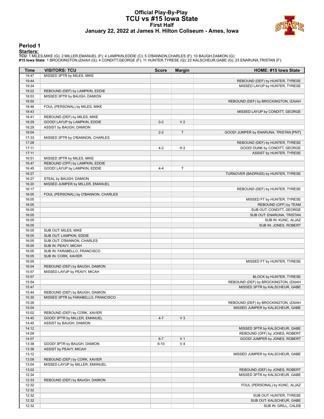#### **Official Play-By-Play TCU vs #15 Iowa State First Half January 22, 2022 at James H. Hilton Coliseum - Ames, Iowa**



#### **Period 1**

<mark>Startersː</mark><br>TCU: 1 MILES,MIKE (G); 2 MILLER,EMANUEL (F); 4 LAMPKIN,EDDIE (C); 5 O'BANNON,CHARLES (F); 10 BAUGH,DAMION (G);<br>#15 **Iowa State**: 1 BROCKINGTON,IZAIAH (G); 4 CONDITT,GEORGE (F); 11 HUNTER,TYRESE (G); 22 KALSCHEU

| Time           | <b>VISITORS: TCU</b>                                             | <b>Score</b> | <b>Margin</b>  | HOME: #15 Iowa State                                |
|----------------|------------------------------------------------------------------|--------------|----------------|-----------------------------------------------------|
| 19:47          | MISSED 3PTR by MILES, MIKE                                       |              |                |                                                     |
| 19:44          |                                                                  |              |                | REBOUND (DEF) by HUNTER, TYRESE                     |
| 19:24          |                                                                  |              |                | MISSED LAYUP by HUNTER, TYRESE                      |
| 19:22          | REBOUND (DEF) by LAMPKIN, EDDIE                                  |              |                |                                                     |
| 18:53          | MISSED 3PTR by BAUGH, DAMION                                     |              |                |                                                     |
| 18:50          |                                                                  |              |                | REBOUND (DEF) by BROCKINGTON, IZAIAH                |
| 18:46          | FOUL (PERSONAL) by MILES, MIKE                                   |              |                |                                                     |
| 18:43          |                                                                  |              |                | MISSED LAYUP by CONDITT, GEORGE                     |
| 18:41          | REBOUND (DEF) by MILES, MIKE                                     |              |                |                                                     |
| 18:29          | GOOD! LAYUP by LAMPKIN, EDDIE                                    | $0 - 2$      | V <sub>2</sub> |                                                     |
| 18:29          | ASSIST by BAUGH, DAMION                                          |              |                |                                                     |
| 18:04          |                                                                  | $2 - 2$      | $\top$         | GOOD! JUMPER by ENARUNA, TRISTAN [PNT]              |
| 17:33          | MISSED 3PTR by O'BANNON, CHARLES                                 |              |                |                                                     |
| 17:28          |                                                                  |              |                | REBOUND (DEF) by HUNTER, TYRESE                     |
| 17:11          |                                                                  | $4 - 2$      | H <sub>2</sub> | GOOD! DUNK by CONDITT, GEORGE                       |
| 17:11          |                                                                  |              |                | ASSIST by HUNTER, TYRESE                            |
| 16:51          | MISSED 3PTR by MILES, MIKE                                       |              |                |                                                     |
| 16:47<br>16:45 | REBOUND (OFF) by LAMPKIN, EDDIE<br>GOOD! LAYUP by LAMPKIN, EDDIE | $4 - 4$      | $\mathsf T$    |                                                     |
| 16:27          |                                                                  |              |                | TURNOVER (BADPASS) by HUNTER, TYRESE                |
| 16:27          | STEAL by BAUGH, DAMION                                           |              |                |                                                     |
| 16:20          | MISSED JUMPER by MILLER, EMANUEL                                 |              |                |                                                     |
| 16:17          |                                                                  |              |                | REBOUND (DEF) by HUNTER, TYRESE                     |
| 16:05          | FOUL (PERSONAL) by O'BANNON, CHARLES                             |              |                |                                                     |
| 16:05          |                                                                  |              |                | MISSED FT by HUNTER, TYRESE                         |
| 16:05          |                                                                  |              |                | REBOUND (OFF) by TEAM                               |
| 16:05          |                                                                  |              |                | SUB OUT: CONDITT, GEORGE                            |
| 16:05          |                                                                  |              |                | SUB OUT: ENARUNA, TRISTAN                           |
| 16:05          |                                                                  |              |                | SUB IN: KUNC, ALJAZ                                 |
| 16:05          |                                                                  |              |                | SUB IN: JONES, ROBERT                               |
| 16:05          | SUB OUT: MILES, MIKE                                             |              |                |                                                     |
| 16:05          | SUB OUT: LAMPKIN, EDDIE                                          |              |                |                                                     |
| 16:05          | SUB OUT: O'BANNON, CHARLES                                       |              |                |                                                     |
| 16:05          | SUB IN: PEAVY, MICAH                                             |              |                |                                                     |
| 16:05          | SUB IN: FARABELLO, FRANCISCO                                     |              |                |                                                     |
| 16:05          | SUB IN: CORK, XAVIER                                             |              |                |                                                     |
| 16:05          |                                                                  |              |                | MISSED FT by HUNTER, TYRESE                         |
| 16:04          | REBOUND (DEF) by BAUGH, DAMION                                   |              |                |                                                     |
| 15:57          | MISSED LAYUP by PEAVY, MICAH                                     |              |                |                                                     |
| 15:57          |                                                                  |              |                | BLOCK by HUNTER, TYRESE                             |
| 15:54          |                                                                  |              |                | REBOUND (DEF) by BROCKINGTON, IZAIAH                |
| 15:47          |                                                                  |              |                | MISSED 3PTR by KALSCHEUR, GABE                      |
| 15:44          | REBOUND (DEF) by BAUGH, DAMION                                   |              |                |                                                     |
| 15:30          | MISSED 3PTR by FARABELLO, FRANCISCO                              |              |                |                                                     |
| 15:28          |                                                                  |              |                | REBOUND (DEF) by BROCKINGTON, IZAIAH                |
| 15:04          |                                                                  |              |                | MISSED JUMPER by KALSCHEUR, GABE                    |
| 15:02          | REBOUND (DEF) by CORK, XAVIER                                    |              |                |                                                     |
| 14:45          | GOOD! 3PTR by MILLER, EMANUEL                                    | $4 - 7$      | $V_3$          |                                                     |
| 14:45          | ASSIST by BAUGH, DAMION                                          |              |                |                                                     |
| 14:12          |                                                                  |              |                | MISSED 3PTR by KALSCHEUR, GABE                      |
| 14:09          |                                                                  |              |                | REBOUND (OFF) by JONES, ROBERT                      |
| 14:07          |                                                                  | $6 - 7$      | V <sub>1</sub> | GOOD! JUMPER by JONES, ROBERT                       |
| 13:38          | GOOD! 3PTR by BAUGH, DAMION                                      | $6 - 10$     | V <sub>4</sub> |                                                     |
| 13:38          | ASSIST by PEAVY, MICAH                                           |              |                |                                                     |
| 13:12          |                                                                  |              |                | MISSED JUMPER by KALSCHEUR, GABE                    |
| 13:09          | REBOUND (DEF) by CORK, XAVIER                                    |              |                |                                                     |
| 13:04          | MISSED LAYUP by MILLER, EMANUEL                                  |              |                |                                                     |
| 13:02          |                                                                  |              |                | REBOUND (DEF) by JONES, ROBERT                      |
| 12:34          |                                                                  |              |                | MISSED 3PTR by KALSCHEUR, GABE                      |
| 12:33          | REBOUND (DEF) by BAUGH, DAMION                                   |              |                |                                                     |
| 12:32          |                                                                  |              |                | FOUL (PERSONAL) by KUNC, ALJAZ                      |
| 12:32          |                                                                  |              |                |                                                     |
| 12:32<br>12:32 |                                                                  |              |                | SUB OUT: HUNTER, TYRESE<br>SUB OUT: KALSCHEUR, GABE |
|                |                                                                  |              |                |                                                     |
| 12:32          |                                                                  |              |                | SUB IN: GRILL, CALEB                                |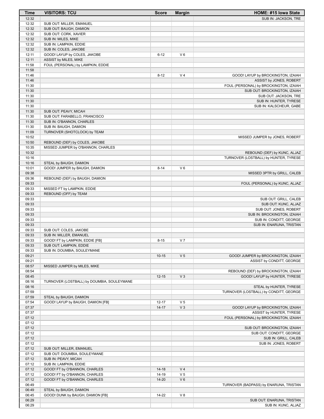| Time           | <b>VISITORS: TCU</b>                       | <b>Score</b> | <b>Margin</b>  | HOME: #15 Iowa State                                             |
|----------------|--------------------------------------------|--------------|----------------|------------------------------------------------------------------|
| 12:32          |                                            |              |                | SUB IN: JACKSON, TRE                                             |
| 12:32          | SUB OUT: MILLER, EMANUEL                   |              |                |                                                                  |
| 12:32          | SUB OUT: BAUGH, DAMION                     |              |                |                                                                  |
| 12:32          | SUB OUT: CORK, XAVIER                      |              |                |                                                                  |
| 12:32          | SUB IN: MILES, MIKE                        |              |                |                                                                  |
| 12:32          | SUB IN: LAMPKIN, EDDIE                     |              |                |                                                                  |
| 12:32          | SUB IN: COLES, JAKOBE                      |              |                |                                                                  |
| 12:11          | GOOD! LAYUP by COLES, JAKOBE               | $6 - 12$     | $V_6$          |                                                                  |
| 12:11          | ASSIST by MILES, MIKE                      |              |                |                                                                  |
| 11:58          | FOUL (PERSONAL) by LAMPKIN, EDDIE          |              |                |                                                                  |
| 11:58<br>11:46 |                                            | $8 - 12$     | V <sub>4</sub> | GOOD! LAYUP by BROCKINGTON, IZAIAH                               |
| 11:46          |                                            |              |                | ASSIST by JONES, ROBERT                                          |
| 11:30          |                                            |              |                | FOUL (PERSONAL) by BROCKINGTON, IZAIAH                           |
| 11:30          |                                            |              |                | SUB OUT: BROCKINGTON, IZAIAH                                     |
| 11:30          |                                            |              |                | SUB OUT: JACKSON, TRE                                            |
| 11:30          |                                            |              |                | SUB IN: HUNTER, TYRESE                                           |
| 11:30          |                                            |              |                | SUB IN: KALSCHEUR, GABE                                          |
| 11:30          | SUB OUT: PEAVY, MICAH                      |              |                |                                                                  |
| 11:30          | SUB OUT: FARABELLO, FRANCISCO              |              |                |                                                                  |
| 11:30          | SUB IN: O'BANNON, CHARLES                  |              |                |                                                                  |
| 11:30          | SUB IN: BAUGH, DAMION                      |              |                |                                                                  |
| 11:09          | TURNOVER (SHOTCLOCK) by TEAM               |              |                |                                                                  |
| 10:52          |                                            |              |                | MISSED JUMPER by JONES, ROBERT                                   |
| 10:50          | REBOUND (DEF) by COLES, JAKOBE             |              |                |                                                                  |
| 10:35          | MISSED JUMPER by O'BANNON, CHARLES         |              |                |                                                                  |
| 10:32          |                                            |              |                | REBOUND (DEF) by KUNC, ALJAZ                                     |
| 10:16          |                                            |              |                | TURNOVER (LOSTBALL) by HUNTER, TYRESE                            |
| 10:16          | STEAL by BAUGH, DAMION                     |              |                |                                                                  |
| 10:01          | GOOD! JUMPER by BAUGH, DAMION              | $8 - 14$     | $V_6$          |                                                                  |
| 09:38          |                                            |              |                | MISSED 3PTR by GRILL, CALEB                                      |
| 09:36          | REBOUND (DEF) by BAUGH, DAMION             |              |                |                                                                  |
| 09:33          |                                            |              |                | FOUL (PERSONAL) by KUNC, ALJAZ                                   |
| 09:33          | MISSED FT by LAMPKIN, EDDIE                |              |                |                                                                  |
| 09:33          | REBOUND (OFF) by TEAM                      |              |                |                                                                  |
| 09:33          |                                            |              |                | SUB OUT: GRILL, CALEB                                            |
| 09:33          |                                            |              |                | SUB OUT: KUNC, ALJAZ                                             |
| 09:33          |                                            |              |                | SUB OUT: JONES, ROBERT                                           |
| 09:33          |                                            |              |                | SUB IN: BROCKINGTON, IZAIAH                                      |
| 09:33          |                                            |              |                | SUB IN: CONDITT, GEORGE                                          |
| 09:33          |                                            |              |                | SUB IN: ENARUNA, TRISTAN                                         |
| 09:33          | SUB OUT: COLES, JAKOBE                     |              |                |                                                                  |
| 09:33          | SUB IN: MILLER, EMANUEL                    |              |                |                                                                  |
| 09:33          | GOOD! FT by LAMPKIN, EDDIE [FB]            | $8 - 15$     | V <sub>7</sub> |                                                                  |
| 09:33          | SUB OUT: LAMPKIN, EDDIE                    |              |                |                                                                  |
| 09:33          | SUB IN: DOUMBIA, SOULEYMANE                |              | V <sub>5</sub> |                                                                  |
| 09:21<br>09:21 |                                            | $10 - 15$    |                | GOOD! JUMPER by BROCKINGTON, IZAIAH<br>ASSIST by CONDITT, GEORGE |
| 08:57          | MISSED JUMPER by MILES, MIKE               |              |                |                                                                  |
| 08:54          |                                            |              |                | REBOUND (DEF) by BROCKINGTON, IZAIAH                             |
| 08:45          |                                            | $12 - 15$    | V <sub>3</sub> | GOOD! LAYUP by HUNTER, TYRESE                                    |
| 08:16          | TURNOVER (LOSTBALL) by DOUMBIA, SOULEYMANE |              |                |                                                                  |
| 08:16          |                                            |              |                | STEAL by HUNTER, TYRESE                                          |
| 07:59          |                                            |              |                | TURNOVER (LOSTBALL) by CONDITT, GEORGE                           |
| 07:59          | STEAL by BAUGH, DAMION                     |              |                |                                                                  |
| 07:54          | GOOD! LAYUP by BAUGH, DAMION [FB]          | $12 - 17$    | V <sub>5</sub> |                                                                  |
| 07:37          |                                            | $14 - 17$    | V <sub>3</sub> | GOOD! LAYUP by BROCKINGTON, IZAIAH                               |
| 07:37          |                                            |              |                | ASSIST by HUNTER, TYRESE                                         |
| 07:12          |                                            |              |                | FOUL (PERSONAL) by BROCKINGTON, IZAIAH                           |
| 07:12          |                                            |              |                |                                                                  |
| 07:12          |                                            |              |                | SUB OUT: BROCKINGTON, IZAIAH                                     |
| 07:12          |                                            |              |                | SUB OUT: CONDITT, GEORGE                                         |
| 07:12          |                                            |              |                | SUB IN: GRILL, CALEB                                             |
| 07:12          |                                            |              |                | SUB IN: JONES, ROBERT                                            |
| 07:12          | SUB OUT: MILLER, EMANUEL                   |              |                |                                                                  |
| 07:12          | SUB OUT: DOUMBIA, SOULEYMANE               |              |                |                                                                  |
| 07:12          | SUB IN: PEAVY, MICAH                       |              |                |                                                                  |
| 07:12          | SUB IN: LAMPKIN, EDDIE                     |              |                |                                                                  |
| 07:12          | GOOD! FT by O'BANNON, CHARLES              | $14 - 18$    | V <sub>4</sub> |                                                                  |
| 07:12          | GOOD! FT by O'BANNON, CHARLES              | 14-19        | V <sub>5</sub> |                                                                  |
| 07:12          | GOOD! FT by O'BANNON, CHARLES              | $14 - 20$    | $V_6$          |                                                                  |
| 06:49          |                                            |              |                | TURNOVER (BADPASS) by ENARUNA, TRISTAN                           |
| 06:49          | STEAL by BAUGH, DAMION                     |              |                |                                                                  |
| 06:45          | GOOD! DUNK by BAUGH, DAMION [FB]           | 14-22        | V8             |                                                                  |
| 06:29          |                                            |              |                | SUB OUT: ENARUNA, TRISTAN                                        |
| 06:29          |                                            |              |                | SUB IN: KUNC, ALJAZ                                              |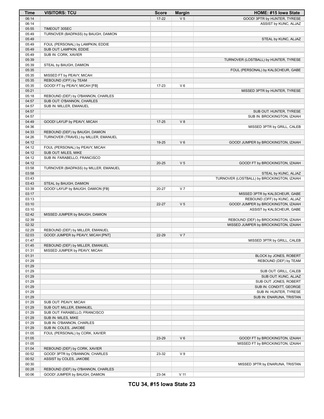| Time           | <b>VISITORS: TCU</b>                  | <b>Score</b> | <b>Margin</b>  | HOME: #15 Iowa State                                                |
|----------------|---------------------------------------|--------------|----------------|---------------------------------------------------------------------|
| 06:14          |                                       | $17 - 22$    | V <sub>5</sub> | GOOD! 3PTR by HUNTER, TYRESE                                        |
| 06:14          |                                       |              |                | ASSIST by KUNC, ALJAZ                                               |
| 05:55          | TIMEOUT 30SEC                         |              |                |                                                                     |
| 05:49          | TURNOVER (BADPASS) by BAUGH, DAMION   |              |                |                                                                     |
| 05:49          |                                       |              |                | STEAL by KUNC, ALJAZ                                                |
| 05:49          | FOUL (PERSONAL) by LAMPKIN, EDDIE     |              |                |                                                                     |
| 05:49          | SUB OUT: LAMPKIN, EDDIE               |              |                |                                                                     |
| 05:49          | SUB IN: CORK, XAVIER                  |              |                |                                                                     |
| 05:39          |                                       |              |                | TURNOVER (LOSTBALL) by HUNTER, TYRESE                               |
| 05:39          | STEAL by BAUGH, DAMION                |              |                |                                                                     |
| 05:35          |                                       |              |                | FOUL (PERSONAL) by KALSCHEUR, GABE                                  |
| 05:35          | MISSED FT by PEAVY, MICAH             |              |                |                                                                     |
| 05:35          | REBOUND (OFF) by TEAM                 |              | $V_6$          |                                                                     |
| 05:35<br>05:21 | GOOD! FT by PEAVY, MICAH [FB]         | 17-23        |                | MISSED 3PTR by HUNTER, TYRESE                                       |
| 05:18          | REBOUND (DEF) by O'BANNON, CHARLES    |              |                |                                                                     |
| 04:57          | SUB OUT: O'BANNON, CHARLES            |              |                |                                                                     |
| 04:57          | SUB IN: MILLER, EMANUEL               |              |                |                                                                     |
| 04:57          |                                       |              |                | SUB OUT: HUNTER, TYRESE                                             |
| 04:57          |                                       |              |                | SUB IN: BROCKINGTON, IZAIAH                                         |
| 04:49          | GOOD! LAYUP by PEAVY, MICAH           | $17 - 25$    | V8             |                                                                     |
| 04:36          |                                       |              |                | MISSED 3PTR by GRILL, CALEB                                         |
| 04:33          | REBOUND (DEF) by BAUGH, DAMION        |              |                |                                                                     |
| 04:26          | TURNOVER (TRAVEL) by MILLER, EMANUEL  |              |                |                                                                     |
| 04:12          |                                       | 19-25        | $V_6$          | GOOD! JUMPER by BROCKINGTON, IZAIAH                                 |
| 04:12          | FOUL (PERSONAL) by PEAVY, MICAH       |              |                |                                                                     |
| 04:12          | SUB OUT: MILES, MIKE                  |              |                |                                                                     |
| 04:12          | SUB IN: FARABELLO, FRANCISCO          |              |                |                                                                     |
| 04:12          |                                       | $20 - 25$    | V <sub>5</sub> | GOOD! FT by BROCKINGTON, IZAIAH                                     |
| 03:58          | TURNOVER (BADPASS) by MILLER, EMANUEL |              |                |                                                                     |
| 03:58          |                                       |              |                | STEAL by KUNC, ALJAZ                                                |
| 03:43          |                                       |              |                | TURNOVER (LOSTBALL) by BROCKINGTON, IZAIAH                          |
| 03:43          | STEAL by BAUGH, DAMION                |              |                |                                                                     |
| 03:39          | GOOD! LAYUP by BAUGH, DAMION [FB]     | 20-27        | V <sub>7</sub> |                                                                     |
| 03:17          |                                       |              |                | MISSED 3PTR by KALSCHEUR, GABE                                      |
| 03:13          |                                       |              |                | REBOUND (OFF) by KUNC, ALJAZ                                        |
| 03:10<br>03:10 |                                       | $22 - 27$    | V <sub>5</sub> | GOOD! JUMPER by BROCKINGTON, IZAIAH                                 |
| 02:42          | MISSED JUMPER by BAUGH, DAMION        |              |                | ASSIST by KALSCHEUR, GABE                                           |
| 02:39          |                                       |              |                | REBOUND (DEF) by BROCKINGTON, IZAIAH                                |
| 02:32          |                                       |              |                | MISSED JUMPER by BROCKINGTON, IZAIAH                                |
| 02:29          | REBOUND (DEF) by MILLER, EMANUEL      |              |                |                                                                     |
| 02:03          | GOOD! JUMPER by PEAVY, MICAH [PNT]    | 22-29        | V <sub>7</sub> |                                                                     |
| 01:47          |                                       |              |                | MISSED 3PTR by GRILL, CALEB                                         |
| 01:45          | REBOUND (DEF) by MILLER, EMANUEL      |              |                |                                                                     |
| 01:31          | MISSED JUMPER by PEAVY, MICAH         |              |                |                                                                     |
| 01:31          |                                       |              |                | BLOCK by JONES, ROBERT                                              |
| 01:29          |                                       |              |                | REBOUND (DEF) by TEAM                                               |
| 01:29          |                                       |              |                |                                                                     |
| 01:29          |                                       |              |                | SUB OUT: GRILL, CALEB                                               |
| 01:29          |                                       |              |                | SUB OUT: KUNC, ALJAZ                                                |
| 01:29          |                                       |              |                | SUB OUT: JONES, ROBERT                                              |
| 01:29          |                                       |              |                | SUB IN: CONDITT, GEORGE                                             |
| 01:29          |                                       |              |                | SUB IN: HUNTER, TYRESE                                              |
| 01:29          |                                       |              |                | SUB IN: ENARUNA, TRISTAN                                            |
| 01:29          | SUB OUT: PEAVY, MICAH                 |              |                |                                                                     |
| 01:29          | SUB OUT: MILLER, EMANUEL              |              |                |                                                                     |
| 01:29          | SUB OUT: FARABELLO, FRANCISCO         |              |                |                                                                     |
| 01:29          | SUB IN: MILES, MIKE                   |              |                |                                                                     |
| 01:29          | SUB IN: O'BANNON, CHARLES             |              |                |                                                                     |
| 01:29<br>01:05 | SUB IN: COLES, JAKOBE                 |              |                |                                                                     |
| 01:05          | FOUL (PERSONAL) by CORK, XAVIER       |              | $V_6$          |                                                                     |
| 01:05          |                                       | 23-29        |                | GOOD! FT by BROCKINGTON, IZAIAH<br>MISSED FT by BROCKINGTON, IZAIAH |
| 01:04          | REBOUND (DEF) by CORK, XAVIER         |              |                |                                                                     |
| 00:52          | GOOD! 3PTR by O'BANNON, CHARLES       | 23-32        | V <sub>9</sub> |                                                                     |
| 00:52          | ASSIST by COLES, JAKOBE               |              |                |                                                                     |
| 00:30          |                                       |              |                | MISSED 3PTR by ENARUNA, TRISTAN                                     |
| 00:28          | REBOUND (DEF) by O'BANNON, CHARLES    |              |                |                                                                     |
| 00:06          | GOOD! JUMPER by BAUGH, DAMION         | 23-34        | $V$ 11         |                                                                     |

**TCU 34, #15 Iowa State 23**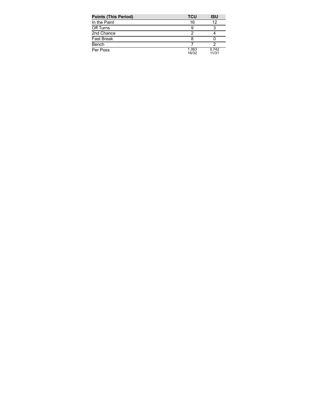| <b>Points (This Period)</b> | <b>TCU</b>     | ISU            |
|-----------------------------|----------------|----------------|
| In the Paint                | 16             | 12             |
| Off Turns                   |                |                |
| 2nd Chance                  |                |                |
| <b>Fast Break</b>           |                |                |
| Bench                       |                |                |
| Per Poss                    | 1.063<br>16/32 | 0.742<br>11/31 |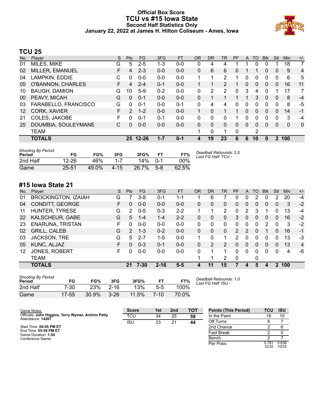### **Official Box Score TCU vs #15 Iowa State Second Half Statistics Only January 22, 2022 at James H. Hilton Coliseum - Ames, Iowa**



# **TCU 25**

| No. | Plaver                   | S  | <b>Pts</b>      | FG        | 3FG     | <b>FT</b> | <b>OR</b> | <b>DR</b> | <b>TR</b> | PF       | A | <b>TO</b>    | <b>B</b> lk  | Stl          | Min          | $+/-$          |
|-----|--------------------------|----|-----------------|-----------|---------|-----------|-----------|-----------|-----------|----------|---|--------------|--------------|--------------|--------------|----------------|
| 01  | MILES, MIKE              | G  | 5               | $2 - 5$   | 1-3     | $0-0$     | 0         | 4         | 4         |          |   | 0            | 0            |              | 18           | 7              |
| 02  | MILLER, EMANUEL          | F  | 4               | $2 - 3$   | $0 - 0$ | $0 - 0$   | 0         | 6         | 6         | 0        |   |              | 0            | 0            | 9            | $\overline{4}$ |
| 04  | LAMPKIN, EDDIE           | С  | 0               | $0 - 0$   | $0 - 0$ | $0 - 0$   | 1         | 1         | 2         |          | 0 | 0            | 0            | 0            | 6            | 5              |
| 05  | <b>O'BANNON, CHARLES</b> | F. | 4               | $2 - 4$   | $0 - 1$ | $0 - 0$   |           | 1         | 2         | 1        | 0 | $\mathbf{0}$ | $\mathbf{0}$ | $\mathbf{0}$ | 16           | 11             |
| 10  | <b>BAUGH, DAMION</b>     | G  | 10              | $5-9$     | $0 - 2$ | $0 - 0$   | 0         | 2         | 2         | 0        | 3 | 4            | 0            |              | 17           | 7              |
| 00  | PEAVY, MICAH             | G  | $\Omega$        | $0 - 1$   | $0 - 0$ | $0 - 0$   | 0         | 1         |           |          |   | 3            | $\Omega$     | 0            | 8            | $-4$           |
| 03  | FARABELLO, FRANCISCO     | G  | 0               | $0 - 1$   | $0 - 0$ | $0 - 1$   | 0         | 4         | 4         | 0        | 0 | 0            | 0            | 0            | 8            | -5             |
| 12  | CORK, XAVIER             | F  | 2               | $1 - 2$   | $0 - 0$ | $0 - 0$   | 1         | $\Omega$  | 1         | 1        | 0 | $\Omega$     | $\Omega$     | $\Omega$     | 14           | -1             |
| 21  | COLES, JAKOBE            | F  | 0               | 0-1       | $0 - 1$ | $0 - 0$   | 0         | $\Omega$  | 0         | 1        | 0 | $\Omega$     | 0            | 0            | 3            | -4             |
| 25  | DOUMBIA, SOULEYMANE      | C  | 0               | $0 - 0$   | $0 - 0$ | $0 - 0$   | 0         | 0         | $\Omega$  | $\Omega$ | 0 | $\Omega$     | $\Omega$     | 0            | $\mathbf{0}$ | 0              |
|     | <b>TEAM</b>              |    |                 |           |         |           |           | 0         |           | 0        |   | 2            |              |              |              |                |
|     | <b>TOTALS</b>            |    | 25 <sub>2</sub> | $12 - 26$ | $1 - 7$ | $0 - 1$   | 4         | 19        | 23        | 6        | 6 | 10           | 0            | $\mathbf{2}$ | 100          |                |
|     |                          |    |                 |           |         |           |           |           |           |          |   |              |              |              |              |                |

| <b>Shooting By Period</b><br>Period | FG        | FG%   | 3FG      | 3FG%  | FТ      | FT%    | Deadball Rebounds: 2,0<br>Last FG Half: TCU - |
|-------------------------------------|-----------|-------|----------|-------|---------|--------|-----------------------------------------------|
| 2nd Half                            | $12 - 26$ | 46%   |          | 14%   | በ-1     | $00\%$ |                                               |
| Game                                | 25-51     | 49.0% | $4 - 15$ | 26.7% | $5 - 8$ | 62.5%  |                                               |

# **#15 Iowa State 21**

| No. | Plaver                     | S. | <b>Pts</b>    | FG      | 3FG      | <b>FT</b> | <b>OR</b> | DR       | TR           | PF            | A        | TO | <b>Blk</b>     | Stl      | Min | $+/-$          |
|-----|----------------------------|----|---------------|---------|----------|-----------|-----------|----------|--------------|---------------|----------|----|----------------|----------|-----|----------------|
| 01  | <b>BROCKINGTON, IZAIAH</b> | G  |               | $3 - 8$ | $0 - 1$  | $1 - 1$   |           | 6        |              | 0             | 0        | 2  | 0              | 2        | 20  | $-4$           |
| 04  | CONDITT, GEORGE            | F. | 0             | $0 - 0$ | $0 - 0$  | $0 - 0$   | 0         | 0        | 0            | 0             | $\Omega$ | 0  | $\Omega$       | 0        | 3   | $-2$           |
| 11  | HUNTER, TYRESE             | G  | 2             | $0 - 5$ | $0 - 3$  | $2 - 2$   | 1         |          | 2            | 0             | 2        | 3  |                | 0        | 13  | $-4$           |
| 22  | <b>KALSCHEUR, GABE</b>     | G  | 5             | 1-4     | $1 - 4$  | $2 - 2$   | 0         | 0        | $\mathbf{0}$ | 3             | 0        | 0  | $\overline{0}$ | 0        | 16  | $-2$           |
| 23  | <b>ENARUNA, TRISTAN</b>    | F. | $\Omega$      | $0 - 0$ | $0 - 0$  | $0-0$     | 0         | 0        | 0            | 0             | 0        | 0  | 2              | 0        | 3   | $-2$           |
| 02  | <b>GRILL, CALEB</b>        | G  | $\mathcal{P}$ | $1 - 3$ | $0 - 2$  | $0 - 0$   | 0         | 0        | $\Omega$     | $\mathcal{P}$ | 2        | 0  |                | 0        | 16  | $-1$           |
| 03  | <b>JACKSON, TRE</b>        | G  | 5             | $2 - 7$ | $1-5$    | $0-0$     |           | $\Omega$ |              | 2             | 0        | 0  | 0              | 0        | 13  | $-3$           |
| 05  | KUNC, ALJAZ                | F. | 0             | $0 - 3$ | $0 - 1$  | $0 - 0$   | 0         | 2        | 2            | 0             | $\Omega$ | 0  | $\Omega$       | 0        | 13  | $\overline{4}$ |
| 12  | <b>JONES, ROBERT</b>       | F. | 0             | $0-0$   | 0-0      | $0 - 0$   | 0         |          |              | $\Omega$      | 0        | 0  | 0              | $\Omega$ | 4   | -6             |
|     | <b>TEAM</b>                |    |               |         |          |           | 1         |          | 2            | $\Omega$      |          | 0  |                |          |     |                |
|     | <b>TOTALS</b>              |    | 21            | 7-30    | $2 - 16$ | $5 - 5$   |           | 11       | 15           |               | Д        | 5  |                | 2        | 100 |                |

| <b>Shooting By Period</b><br>Period | FG        | FG%   | 3FG      | 3FG%     |          | FT%   |
|-------------------------------------|-----------|-------|----------|----------|----------|-------|
| 2nd Half                            | 7-30      | 23%   | $2 - 16$ | 13%      | $5-5$    | 100%  |
| Game                                | $17 - 55$ | 30.9% | $3-26$   | $11.5\%$ | $7 - 10$ | 70.0% |

*Deadball Rebounds:* 1,0 *Last FG Half:* ISU -

| Game Notes:                                                              | <b>Score</b> | 1st | 2 <sub>nd</sub> | <b>TOT</b> | <b>Points (This Period)</b> | TCU            | <b>ISU</b>     |
|--------------------------------------------------------------------------|--------------|-----|-----------------|------------|-----------------------------|----------------|----------------|
| Officials: John Higgins, Terry Wymer, Antinio Petty<br>Attendance: 14267 | TCU          | 34  | 25              | 59         | In the Paint                | 16             | 10             |
|                                                                          | <b>ISU</b>   | 23  | 21              | 44         | Off Turns                   |                |                |
| Start Time: 04:05 PM ET                                                  |              |     |                 |            | 2nd Chance                  |                |                |
| End Time: 05:59 PM ET<br>Game Duration: 1:54                             |              |     |                 |            | <b>Fast Break</b>           |                |                |
| Conference Game:                                                         |              |     |                 |            | Bench                       |                |                |
|                                                                          |              |     |                 |            | Per Poss                    | 0.781<br>12/32 | 0.636<br>10/33 |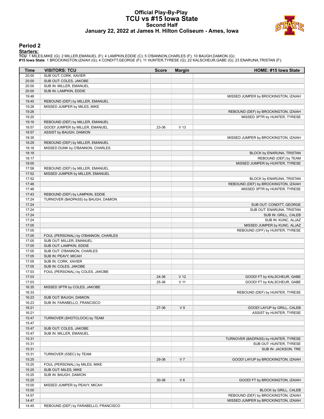#### **Official Play-By-Play TCU vs #15 Iowa State Second Half January 22, 2022 at James H. Hilton Coliseum - Ames, Iowa**



#### **Period 2**

<mark>Startersː</mark><br>TCU: 1 MILES,MIKE (G); 2 MILLER,EMANUEL (F); 4 LAMPKIN,EDDIE (C); 5 O'BANNON,CHARLES (F); 10 BAUGH,DAMION (G);<br>#15 **Iowa State**: 1 BROCKINGTON,IZAIAH (G); 4 CONDITT,GEORGE (F); 11 HUNTER,TYRESE (G); 22 KALSCHEU

| Time  | <b>VISITORS: TCU</b>                  | <b>Score</b> | <b>Margin</b>   | HOME: #15 Iowa State                 |
|-------|---------------------------------------|--------------|-----------------|--------------------------------------|
| 20:00 | SUB OUT: CORK, XAVIER                 |              |                 |                                      |
| 20:00 | SUB OUT: COLES, JAKOBE                |              |                 |                                      |
| 20:00 | SUB IN: MILLER, EMANUEL               |              |                 |                                      |
| 20:00 | SUB IN: LAMPKIN, EDDIE                |              |                 |                                      |
| 19:48 |                                       |              |                 | MISSED JUMPER by BROCKINGTON, IZAIAH |
| 19:45 | REBOUND (DEF) by MILLER, EMANUEL      |              |                 |                                      |
| 19:28 | MISSED JUMPER by MILES, MIKE          |              |                 |                                      |
| 19:26 |                                       |              |                 | REBOUND (DEF) by BROCKINGTON, IZAIAH |
| 19:20 |                                       |              |                 | MISSED 3PTR by HUNTER, TYRESE        |
| 19:16 | REBOUND (DEF) by MILLER, EMANUEL      |              |                 |                                      |
| 18:57 | GOOD! JUMPER by MILLER, EMANUEL       | 23-36        | V <sub>13</sub> |                                      |
| 18:57 | ASSIST by BAUGH, DAMION               |              |                 |                                      |
| 18:35 |                                       |              |                 | MISSED JUMPER by BROCKINGTON, IZAIAH |
| 18:29 | REBOUND (DEF) by MILLER, EMANUEL      |              |                 |                                      |
| 18:18 | MISSED DUNK by O'BANNON, CHARLES      |              |                 |                                      |
| 18:18 |                                       |              |                 | BLOCK by ENARUNA, TRISTAN            |
| 18:17 |                                       |              |                 | REBOUND (DEF) by TEAM                |
| 18:00 |                                       |              |                 | MISSED JUMPER by HUNTER, TYRESE      |
| 17:58 | REBOUND (DEF) by MILLER, EMANUEL      |              |                 |                                      |
| 17:52 | MISSED JUMPER by MILLER, EMANUEL      |              |                 |                                      |
| 17:52 |                                       |              |                 | BLOCK by ENARUNA, TRISTAN            |
| 17:48 |                                       |              |                 | REBOUND (DEF) by BROCKINGTON, IZAIAH |
| 17:46 |                                       |              |                 | MISSED 3PTR by HUNTER, TYRESE        |
| 17:43 | REBOUND (DEF) by LAMPKIN, EDDIE       |              |                 |                                      |
| 17:24 | TURNOVER (BADPASS) by BAUGH, DAMION   |              |                 |                                      |
| 17:24 |                                       |              |                 | SUB OUT: CONDITT, GEORGE             |
| 17:24 |                                       |              |                 | SUB OUT: ENARUNA, TRISTAN            |
| 17:24 |                                       |              |                 | SUB IN: GRILL, CALEB                 |
| 17:24 |                                       |              |                 | SUB IN: KUNC, ALJAZ                  |
|       |                                       |              |                 |                                      |
| 17:05 |                                       |              |                 | MISSED JUMPER by KUNC, ALJAZ         |
| 17:05 |                                       |              |                 | REBOUND (OFF) by HUNTER, TYRESE      |
| 17:05 | FOUL (PERSONAL) by O'BANNON, CHARLES  |              |                 |                                      |
| 17:05 | SUB OUT: MILLER, EMANUEL              |              |                 |                                      |
| 17:05 | SUB OUT: LAMPKIN, EDDIE               |              |                 |                                      |
| 17:05 | SUB OUT: O'BANNON, CHARLES            |              |                 |                                      |
| 17:05 | SUB IN: PEAVY, MICAH                  |              |                 |                                      |
| 17:05 | SUB IN: CORK, XAVIER                  |              |                 |                                      |
| 17:05 | SUB IN: COLES, JAKOBE                 |              |                 |                                      |
| 17:03 | FOUL (PERSONAL) by COLES, JAKOBE      |              |                 |                                      |
| 17:03 |                                       | 24-36        | V <sub>12</sub> | GOOD! FT by KALSCHEUR, GABE          |
| 17:03 |                                       | 25-36        | $V$ 11          | GOOD! FT by KALSCHEUR, GABE          |
| 16:35 | MISSED 3PTR by COLES, JAKOBE          |              |                 |                                      |
| 16:33 |                                       |              |                 | REBOUND (DEF) by HUNTER, TYRESE      |
| 16:23 | SUB OUT: BAUGH, DAMION                |              |                 |                                      |
| 16:23 | SUB IN: FARABELLO, FRANCISCO          |              |                 |                                      |
| 16:21 |                                       | 27-36        | V <sub>9</sub>  | GOOD! LAYUP by GRILL, CALEB          |
| 16:21 |                                       |              |                 | ASSIST by HUNTER, TYRESE             |
| 15:47 | TURNOVER (SHOTCLOCK) by TEAM          |              |                 |                                      |
| 15:47 |                                       |              |                 |                                      |
| 15:47 | SUB OUT: COLES, JAKOBE                |              |                 |                                      |
| 15:47 | SUB IN: MILLER, EMANUEL               |              |                 |                                      |
| 15:31 |                                       |              |                 | TURNOVER (BADPASS) by HUNTER, TYRESE |
| 15:31 |                                       |              |                 | SUB OUT: HUNTER, TYRESE              |
| 15:31 |                                       |              |                 | SUB IN: JACKSON, TRE                 |
| 15:31 | TURNOVER (5SEC) by TEAM               |              |                 |                                      |
| 15:25 |                                       | 29-36        | V <sub>7</sub>  | GOOD! LAYUP by BROCKINGTON, IZAIAH   |
| 15:25 | FOUL (PERSONAL) by MILES, MIKE        |              |                 |                                      |
| 15:25 | SUB OUT: MILES, MIKE                  |              |                 |                                      |
| 15:25 | SUB IN: BAUGH, DAMION                 |              |                 |                                      |
| 15:25 |                                       | 30-36        | $V_6$           | GOOD! FT by BROCKINGTON, IZAIAH      |
| 15:00 | MISSED JUMPER by PEAVY, MICAH         |              |                 |                                      |
| 15:00 |                                       |              |                 | BLOCK by GRILL, CALEB                |
| 14:57 |                                       |              |                 | REBOUND (DEF) by BROCKINGTON, IZAIAH |
| 14:47 |                                       |              |                 | MISSED JUMPER by BROCKINGTON, IZAIAH |
| 14:45 | REBOUND (DEF) by FARABELLO, FRANCISCO |              |                 |                                      |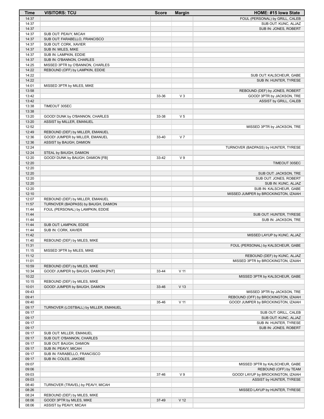| Time           | <b>VISITORS: TCU</b>                                          | <b>Score</b> | <b>Margin</b>   | HOME: #15 Iowa State                            |
|----------------|---------------------------------------------------------------|--------------|-----------------|-------------------------------------------------|
| 14:37          |                                                               |              |                 | FOUL (PERSONAL) by GRILL, CALEB                 |
| 14:37          |                                                               |              |                 | SUB OUT: KUNC, ALJAZ                            |
| 14:37          |                                                               |              |                 | SUB IN: JONES, ROBERT                           |
| 14:37          | SUB OUT: PEAVY, MICAH                                         |              |                 |                                                 |
| 14:37          | SUB OUT: FARABELLO, FRANCISCO                                 |              |                 |                                                 |
| 14:37          | SUB OUT: CORK, XAVIER                                         |              |                 |                                                 |
| 14:37          | SUB IN: MILES, MIKE                                           |              |                 |                                                 |
| 14:37          | SUB IN: LAMPKIN, EDDIE                                        |              |                 |                                                 |
| 14:37<br>14:25 | SUB IN: O'BANNON, CHARLES<br>MISSED 3PTR by O'BANNON, CHARLES |              |                 |                                                 |
| 14:22          | REBOUND (OFF) by LAMPKIN, EDDIE                               |              |                 |                                                 |
| 14:22          |                                                               |              |                 | SUB OUT: KALSCHEUR, GABE                        |
| 14:22          |                                                               |              |                 | SUB IN: HUNTER, TYRESE                          |
| 14:01          | MISSED 3PTR by MILES, MIKE                                    |              |                 |                                                 |
| 13:58          |                                                               |              |                 | REBOUND (DEF) by JONES, ROBERT                  |
| 13:42          |                                                               | 33-36        | $V_3$           | GOOD! 3PTR by JACKSON, TRE                      |
| 13:42          |                                                               |              |                 | ASSIST by GRILL, CALEB                          |
| 13:38          | TIMEOUT 30SEC                                                 |              |                 |                                                 |
| 13:38          |                                                               |              |                 |                                                 |
| 13:20          | GOOD! DUNK by O'BANNON, CHARLES                               | 33-38        | V <sub>5</sub>  |                                                 |
| 13:20          | ASSIST by MILLER, EMANUEL                                     |              |                 |                                                 |
| 12:52          |                                                               |              |                 | MISSED 3PTR by JACKSON, TRE                     |
| 12:49          | REBOUND (DEF) by MILLER, EMANUEL                              |              |                 |                                                 |
| 12:36          | GOOD! JUMPER by MILLER, EMANUEL                               | 33-40        | V <sub>7</sub>  |                                                 |
| 12:36<br>12:24 | ASSIST by BAUGH, DAMION                                       |              |                 | TURNOVER (BADPASS) by HUNTER, TYRESE            |
| 12:24          | STEAL by BAUGH, DAMION                                        |              |                 |                                                 |
| 12:20          | GOOD! DUNK by BAUGH, DAMION [FB]                              | 33-42        | V <sub>9</sub>  |                                                 |
| 12:20          |                                                               |              |                 | TIMEOUT 30SEC                                   |
| 12:20          |                                                               |              |                 |                                                 |
| 12:20          |                                                               |              |                 | SUB OUT: JACKSON, TRE                           |
| 12:20          |                                                               |              |                 | SUB OUT: JONES, ROBERT                          |
| 12:20          |                                                               |              |                 | SUB IN: KUNC, ALJAZ                             |
| 12:20          |                                                               |              |                 | SUB IN: KALSCHEUR, GABE                         |
| 12:10          |                                                               |              |                 | MISSED JUMPER by BROCKINGTON, IZAIAH            |
| 12:07          | REBOUND (DEF) by MILLER, EMANUEL                              |              |                 |                                                 |
| 11:57          | TURNOVER (BADPASS) by BAUGH, DAMION                           |              |                 |                                                 |
| 11:44          | FOUL (PERSONAL) by LAMPKIN, EDDIE                             |              |                 |                                                 |
| 11:44          |                                                               |              |                 | SUB OUT: HUNTER, TYRESE                         |
| 11:44          |                                                               |              |                 | SUB IN: JACKSON, TRE                            |
| 11:44          | SUB OUT: LAMPKIN, EDDIE                                       |              |                 |                                                 |
| 11:44<br>11:42 | SUB IN: CORK, XAVIER                                          |              |                 | MISSED LAYUP by KUNC, ALJAZ                     |
| 11:40          | REBOUND (DEF) by MILES, MIKE                                  |              |                 |                                                 |
| 11:31          |                                                               |              |                 | FOUL (PERSONAL) by KALSCHEUR, GABE              |
| 11:15          | MISSED 3PTR by MILES, MIKE                                    |              |                 |                                                 |
| 11:12          |                                                               |              |                 | REBOUND (DEF) by KUNC, ALJAZ                    |
| 11:01          |                                                               |              |                 | MISSED 3PTR by BROCKINGTON, IZAIAH              |
| 10:59          | REBOUND (DEF) by MILES, MIKE                                  |              |                 |                                                 |
| 10:34          | GOOD! JUMPER by BAUGH, DAMION [PNT]                           | 33-44        | V <sub>11</sub> |                                                 |
| 10:22          |                                                               |              |                 | MISSED 3PTR by KALSCHEUR, GABE                  |
| 10:15          | REBOUND (DEF) by MILES, MIKE                                  |              |                 |                                                 |
| 10:01          | GOOD! JUMPER by BAUGH, DAMION                                 | 33-46        | V <sub>13</sub> |                                                 |
| 09:43          |                                                               |              |                 | MISSED 3PTR by JACKSON, TRE                     |
| 09:41          |                                                               |              |                 | REBOUND (OFF) by BROCKINGTON, IZAIAH            |
| 09:40          |                                                               | 35-46        | $V$ 11          | GOOD! JUMPER by BROCKINGTON, IZAIAH             |
| 09:17          | TURNOVER (LOSTBALL) by MILLER, EMANUEL                        |              |                 |                                                 |
| 09:17          |                                                               |              |                 | SUB OUT: GRILL, CALEB                           |
| 09:17          |                                                               |              |                 | SUB OUT: KUNC, ALJAZ                            |
| 09:17<br>09:17 |                                                               |              |                 | SUB IN: HUNTER, TYRESE<br>SUB IN: JONES, ROBERT |
| 09:17          | SUB OUT: MILLER, EMANUEL                                      |              |                 |                                                 |
| 09:17          | SUB OUT: O'BANNON, CHARLES                                    |              |                 |                                                 |
| 09:17          | SUB OUT: BAUGH, DAMION                                        |              |                 |                                                 |
| 09:17          | SUB IN: PEAVY, MICAH                                          |              |                 |                                                 |
| 09:17          | SUB IN: FARABELLO, FRANCISCO                                  |              |                 |                                                 |
| 09:17          | SUB IN: COLES, JAKOBE                                         |              |                 |                                                 |
| 09:07          |                                                               |              |                 | MISSED 3PTR by KALSCHEUR, GABE                  |
| 09:06          |                                                               |              |                 | REBOUND (OFF) by TEAM                           |
| 09:03          |                                                               | 37-46        | V <sub>9</sub>  | GOOD! LAYUP by BROCKINGTON, IZAIAH              |
| 09:03          |                                                               |              |                 | ASSIST by HUNTER, TYRESE                        |
| 08:40          | TURNOVER (TRAVEL) by PEAVY, MICAH                             |              |                 |                                                 |
| 08:26          |                                                               |              |                 | MISSED LAYUP by HUNTER, TYRESE                  |
| 08:24          | REBOUND (DEF) by MILES, MIKE                                  |              |                 |                                                 |
| 08:06          | GOOD! 3PTR by MILES, MIKE                                     | 37-49        | V <sub>12</sub> |                                                 |
| 08:06          | ASSIST by PEAVY, MICAH                                        |              |                 |                                                 |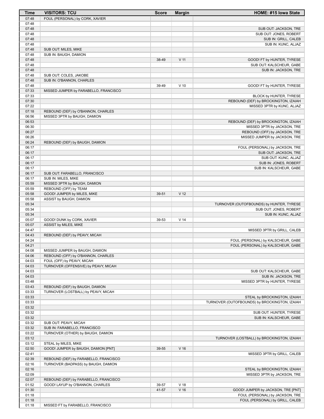| Time           | <b>VISITORS: TCU</b>                                                  | <b>Score</b>   | <b>Margin</b>   | HOME: #15 Iowa State                                               |
|----------------|-----------------------------------------------------------------------|----------------|-----------------|--------------------------------------------------------------------|
| 07:48          | FOUL (PERSONAL) by CORK, XAVIER                                       |                |                 |                                                                    |
| 07:48          |                                                                       |                |                 |                                                                    |
| 07:48<br>07:48 |                                                                       |                |                 | SUB OUT: JACKSON, TRE                                              |
| 07:48          |                                                                       |                |                 | SUB OUT: JONES, ROBERT<br>SUB IN: GRILL, CALEB                     |
| 07:48          |                                                                       |                |                 | SUB IN: KUNC, ALJAZ                                                |
| 07:48          | SUB OUT: MILES, MIKE                                                  |                |                 |                                                                    |
| 07:48          | SUB IN: BAUGH, DAMION                                                 |                |                 |                                                                    |
| 07:48          |                                                                       | 38-49          | $V$ 11          | GOOD! FT by HUNTER, TYRESE                                         |
| 07:48          |                                                                       |                |                 | SUB OUT: KALSCHEUR, GABE                                           |
| 07:48<br>07:48 | SUB OUT: COLES, JAKOBE                                                |                |                 | SUB IN: JACKSON, TRE                                               |
| 07:48          | SUB IN: O'BANNON, CHARLES                                             |                |                 |                                                                    |
| 07:48          |                                                                       | 39-49          | $V$ 10          | GOOD! FT by HUNTER, TYRESE                                         |
| 07:33          | MISSED JUMPER by FARABELLO, FRANCISCO                                 |                |                 |                                                                    |
| 07:33          |                                                                       |                |                 | BLOCK by HUNTER, TYRESE                                            |
| 07:30          |                                                                       |                |                 | REBOUND (DEF) by BROCKINGTON, IZAIAH                               |
| 07:22          |                                                                       |                |                 | MISSED 3PTR by KUNC, ALJAZ                                         |
| 07:18<br>06:56 | REBOUND (DEF) by O'BANNON, CHARLES<br>MISSED 3PTR by BAUGH, DAMION    |                |                 |                                                                    |
| 06:53          |                                                                       |                |                 | REBOUND (DEF) by BROCKINGTON, IZAIAH                               |
| 06:30          |                                                                       |                |                 | MISSED 3PTR by JACKSON, TRE                                        |
| 06:27          |                                                                       |                |                 | REBOUND (OFF) by JACKSON, TRE                                      |
| 06:26          |                                                                       |                |                 | MISSED JUMPER by JACKSON, TRE                                      |
| 06:24          | REBOUND (DEF) by BAUGH, DAMION                                        |                |                 |                                                                    |
| 06:17          |                                                                       |                |                 | FOUL (PERSONAL) by JACKSON, TRE                                    |
| 06:17          |                                                                       |                |                 | SUB OUT: JACKSON, TRE                                              |
| 06:17<br>06:17 |                                                                       |                |                 | SUB OUT: KUNC, ALJAZ<br>SUB IN: JONES, ROBERT                      |
| 06:17          |                                                                       |                |                 | SUB IN: KALSCHEUR, GABE                                            |
| 06:17          | SUB OUT: FARABELLO, FRANCISCO                                         |                |                 |                                                                    |
| 06:17          | SUB IN: MILES, MIKE                                                   |                |                 |                                                                    |
| 05:59          | MISSED 3PTR by BAUGH, DAMION                                          |                |                 |                                                                    |
| 05:59          | REBOUND (OFF) by TEAM                                                 |                |                 |                                                                    |
| 05:58          | GOOD! JUMPER by MILES, MIKE                                           | 39-51          | V <sub>12</sub> |                                                                    |
| 05:58<br>05:34 | ASSIST by BAUGH, DAMION                                               |                |                 |                                                                    |
| 05:34          |                                                                       |                |                 | TURNOVER (OUTOFBOUNDS) by HUNTER, TYRESE<br>SUB OUT: JONES, ROBERT |
| 05:34          |                                                                       |                |                 | SUB IN: KUNC, ALJAZ                                                |
| 05:07          | GOOD! DUNK by CORK, XAVIER                                            | 39-53          | V <sub>14</sub> |                                                                    |
| 05:07          | ASSIST by MILES, MIKE                                                 |                |                 |                                                                    |
| 04:47          |                                                                       |                |                 | MISSED 3PTR by GRILL, CALEB                                        |
| 04:43          | REBOUND (DEF) by PEAVY, MICAH                                         |                |                 |                                                                    |
| 04:24          |                                                                       |                |                 | FOUL (PERSONAL) by KALSCHEUR, GABE                                 |
| 04:21<br>04:08 | MISSED JUMPER by BAUGH, DAMION                                        |                |                 | FOUL (PERSONAL) by KALSCHEUR, GABE                                 |
| 04:06          | REBOUND (OFF) by O'BANNON, CHARLES                                    |                |                 |                                                                    |
| 04:03          | FOUL (OFF) by PEAVY, MICAH                                            |                |                 |                                                                    |
| 04:03          | TURNOVER (OFFENSIVE) by PEAVY, MICAH                                  |                |                 |                                                                    |
| 04:03          |                                                                       |                |                 | SUB OUT: KALSCHEUR, GABE                                           |
| 04:03          |                                                                       |                |                 | SUB IN: JACKSON, TRE                                               |
| 03:48          |                                                                       |                |                 | MISSED 3PTR by HUNTER, TYRESE                                      |
| 03:43<br>03:33 | REBOUND (DEF) by BAUGH, DAMION<br>TURNOVER (LOSTBALL) by PEAVY, MICAH |                |                 |                                                                    |
| 03:33          |                                                                       |                |                 | STEAL by BROCKINGTON, IZAIAH                                       |
| 03:33          |                                                                       |                |                 | TURNOVER (OUTOFBOUNDS) by BROCKINGTON, IZAIAH                      |
| 03:32          |                                                                       |                |                 |                                                                    |
| 03:32          |                                                                       |                |                 | SUB OUT: HUNTER, TYRESE                                            |
| 03:32          |                                                                       |                |                 | SUB IN: KALSCHEUR, GABE                                            |
| 03:32          | SUB OUT: PEAVY, MICAH                                                 |                |                 |                                                                    |
| 03:32          | SUB IN: FARABELLO, FRANCISCO                                          |                |                 |                                                                    |
| 03:22<br>03:12 | TURNOVER (OTHER) by BAUGH, DAMION                                     |                |                 | TURNOVER (LOSTBALL) by BROCKINGTON, IZAIAH                         |
| 03:12          | STEAL by MILES, MIKE                                                  |                |                 |                                                                    |
| 02:50          | GOOD! JUMPER by BAUGH, DAMION [PNT]                                   | 39-55          | $V$ 16          |                                                                    |
| 02:41          |                                                                       |                |                 | MISSED 3PTR by GRILL, CALEB                                        |
| 02:39          | REBOUND (DEF) by FARABELLO, FRANCISCO                                 |                |                 |                                                                    |
| 02:16          | TURNOVER (BADPASS) by BAUGH, DAMION                                   |                |                 |                                                                    |
| 02:16          |                                                                       |                |                 | STEAL by BROCKINGTON, IZAIAH                                       |
| 02:09          |                                                                       |                |                 | MISSED 3PTR by JACKSON, TRE                                        |
| 02:07<br>01:52 | REBOUND (DEF) by FARABELLO, FRANCISCO                                 |                | V <sub>18</sub> |                                                                    |
| 01:30          | GOOD! LAYUP by O'BANNON, CHARLES                                      | 39-57<br>41-57 | $V$ 16          | GOOD! JUMPER by JACKSON, TRE [PNT]                                 |
| 01:18          |                                                                       |                |                 | FOUL (PERSONAL) by JACKSON, TRE                                    |
| 01:18          |                                                                       |                |                 | FOUL (PERSONAL) by GRILL, CALEB                                    |
| 01:18          | MISSED FT by FARABELLO, FRANCISCO                                     |                |                 |                                                                    |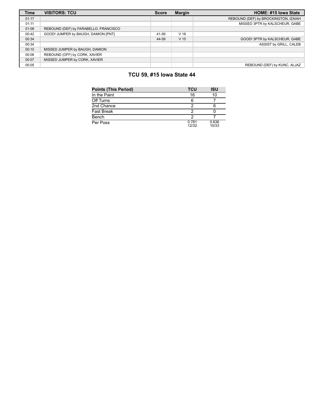| <b>Time</b> | <b>VISITORS: TCU</b>                  | <b>Score</b> | <b>Margin</b>   | HOME: #15 Iowa State                 |
|-------------|---------------------------------------|--------------|-----------------|--------------------------------------|
| 01:17       |                                       |              |                 | REBOUND (DEF) by BROCKINGTON, IZAIAH |
| 01:11       |                                       |              |                 | MISSED 3PTR by KALSCHEUR, GABE       |
| 01:08       | REBOUND (DEF) by FARABELLO, FRANCISCO |              |                 |                                      |
| 00:42       | GOOD! JUMPER by BAUGH, DAMION [PNT]   | 41-59        | V <sub>18</sub> |                                      |
| 00:34       |                                       | 44-59        | V <sub>15</sub> | GOOD! 3PTR by KALSCHEUR, GABE        |
| 00:34       |                                       |              |                 | ASSIST by GRILL, CALEB               |
| 00:10       | MISSED JUMPER by BAUGH, DAMION        |              |                 |                                      |
| 00:08       | REBOUND (OFF) by CORK, XAVIER         |              |                 |                                      |
| 00:07       | MISSED JUMPER by CORK, XAVIER         |              |                 |                                      |
| 00:05       |                                       |              |                 | REBOUND (DEF) by KUNC, ALJAZ         |

# **TCU 59, #15 Iowa State 44**

| <b>Points (This Period)</b> | TCU            | <b>ISU</b>     |
|-----------------------------|----------------|----------------|
| In the Paint                | 16             | 10             |
| Off Turns                   |                |                |
| 2nd Chance                  | າ              |                |
| <b>Fast Break</b>           | າ              |                |
| Bench                       | າ              |                |
| Per Poss                    | 0.781<br>12/32 | 0.636<br>10/33 |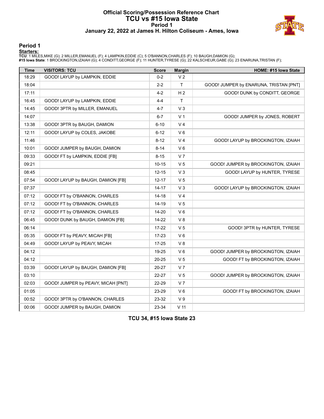#### **Official Scoring/Possession Reference Chart TCU vs #15 Iowa State Period 1 January 22, 2022 at James H. Hilton Coliseum - Ames, Iowa**



#### **Period 1**

<mark>Startersː</mark><br>TCU: 1 MILES,MIKE (G); 2 MILLER,EMANUEL (F); 4 LAMPKIN,EDDIE (C); 5 O'BANNON,CHARLES (F); 10 BAUGH,DAMION (G);<br>#15 **Iowa State**: 1 BROCKINGTON,IZAIAH (G); 4 CONDITT,GEORGE (F); 11 HUNTER,TYRESE (G); 22 KALSCHEU

| <b>Time</b> | <b>VISITORS: TCU</b>               | <b>Score</b> | <b>Margin</b>   | HOME: #15 Iowa State                   |
|-------------|------------------------------------|--------------|-----------------|----------------------------------------|
| 18:29       | GOOD! LAYUP by LAMPKIN, EDDIE      | $0 - 2$      | V <sub>2</sub>  |                                        |
| 18:04       |                                    | $2 - 2$      | T.              | GOOD! JUMPER by ENARUNA, TRISTAN [PNT] |
| 17:11       |                                    | $4 - 2$      | H <sub>2</sub>  | GOOD! DUNK by CONDITT, GEORGE          |
| 16:45       | GOOD! LAYUP by LAMPKIN, EDDIE      | $4 - 4$      | $\mathsf{T}$    |                                        |
| 14:45       | GOOD! 3PTR by MILLER, EMANUEL      | 4-7          | V <sub>3</sub>  |                                        |
| 14:07       |                                    | $6 - 7$      | V <sub>1</sub>  | GOOD! JUMPER by JONES, ROBERT          |
| 13:38       | GOOD! 3PTR by BAUGH, DAMION        | $6 - 10$     | V <sub>4</sub>  |                                        |
| 12:11       | GOOD! LAYUP by COLES, JAKOBE       | $6 - 12$     | $V_6$           |                                        |
| 11:46       |                                    | $8 - 12$     | V <sub>4</sub>  | GOOD! LAYUP by BROCKINGTON, IZAIAH     |
| 10:01       | GOOD! JUMPER by BAUGH, DAMION      | $8 - 14$     | $V_6$           |                                        |
| 09:33       | GOOD! FT by LAMPKIN, EDDIE [FB]    | $8 - 15$     | V <sub>7</sub>  |                                        |
| 09:21       |                                    | $10 - 15$    | V <sub>5</sub>  | GOOD! JUMPER by BROCKINGTON, IZAIAH    |
| 08:45       |                                    | $12 - 15$    | $V_3$           | GOOD! LAYUP by HUNTER, TYRESE          |
| 07:54       | GOOD! LAYUP by BAUGH, DAMION [FB]  | $12 - 17$    | V <sub>5</sub>  |                                        |
| 07:37       |                                    | $14 - 17$    | $V_3$           | GOOD! LAYUP by BROCKINGTON, IZAIAH     |
| 07:12       | GOOD! FT by O'BANNON, CHARLES      | $14 - 18$    | V <sub>4</sub>  |                                        |
| 07:12       | GOOD! FT by O'BANNON, CHARLES      | 14-19        | V <sub>5</sub>  |                                        |
| 07:12       | GOOD! FT by O'BANNON, CHARLES      | $14 - 20$    | $V_6$           |                                        |
| 06:45       | GOOD! DUNK by BAUGH, DAMION [FB]   | $14 - 22$    | V8              |                                        |
| 06:14       |                                    | 17-22        | V <sub>5</sub>  | GOOD! 3PTR by HUNTER, TYRESE           |
| 05:35       | GOOD! FT by PEAVY, MICAH [FB]      | $17-23$      | $V_6$           |                                        |
| 04:49       | GOOD! LAYUP by PEAVY, MICAH        | 17-25        | V8              |                                        |
| 04:12       |                                    | 19-25        | $V_6$           | GOOD! JUMPER by BROCKINGTON, IZAIAH    |
| 04:12       |                                    | 20-25        | V <sub>5</sub>  | GOOD! FT by BROCKINGTON, IZAIAH        |
| 03:39       | GOOD! LAYUP by BAUGH, DAMION [FB]  | 20-27        | V <sub>7</sub>  |                                        |
| 03:10       |                                    | 22-27        | V <sub>5</sub>  | GOOD! JUMPER by BROCKINGTON, IZAIAH    |
| 02:03       | GOOD! JUMPER by PEAVY, MICAH [PNT] | 22-29        | V <sub>7</sub>  |                                        |
| 01:05       |                                    | 23-29        | $V_6$           | GOOD! FT by BROCKINGTON, IZAIAH        |
| 00:52       | GOOD! 3PTR by O'BANNON, CHARLES    | 23-32        | V <sub>9</sub>  |                                        |
| 00:06       | GOOD! JUMPER by BAUGH, DAMION      | 23-34        | V <sub>11</sub> |                                        |

**TCU 34, #15 Iowa State 23**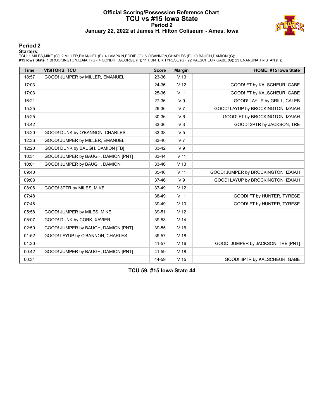#### **Official Scoring/Possession Reference Chart TCU vs #15 Iowa State Period 2 January 22, 2022 at James H. Hilton Coliseum - Ames, Iowa**



#### **Period 2**

<mark>Startersː</mark><br>TCU: 1 MILES,MIKE (G); 2 MILLER,EMANUEL (F); 4 LAMPKIN,EDDIE (C); 5 O'BANNON,CHARLES (F); 10 BAUGH,DAMION (G);<br>#15 **Iowa State**: 1 BROCKINGTON,IZAIAH (G); 4 CONDITT,GEORGE (F); 11 HUNTER,TYRESE (G); 22 KALSCHEU

| <b>Time</b> | <b>VISITORS: TCU</b>                | <b>Score</b> | <b>Margin</b>   | HOME: #15 Iowa State                |
|-------------|-------------------------------------|--------------|-----------------|-------------------------------------|
| 18:57       | GOOD! JUMPER by MILLER, EMANUEL     | 23-36        | V <sub>13</sub> |                                     |
| 17:03       |                                     | 24-36        | V <sub>12</sub> | GOOD! FT by KALSCHEUR, GABE         |
| 17:03       |                                     | 25-36        | V <sub>11</sub> | GOOD! FT by KALSCHEUR, GABE         |
| 16:21       |                                     | 27-36        | V <sub>9</sub>  | GOOD! LAYUP by GRILL, CALEB         |
| 15:25       |                                     | 29-36        | V <sub>7</sub>  | GOOD! LAYUP by BROCKINGTON, IZAIAH  |
| 15:25       |                                     | 30-36        | $V_6$           | GOOD! FT by BROCKINGTON, IZAIAH     |
| 13:42       |                                     | 33-36        | $V_3$           | GOOD! 3PTR by JACKSON, TRE          |
| 13:20       | GOOD! DUNK by O'BANNON, CHARLES     | 33-38        | V <sub>5</sub>  |                                     |
| 12:36       | GOOD! JUMPER by MILLER, EMANUEL     | $33 - 40$    | V <sub>7</sub>  |                                     |
| 12:20       | GOOD! DUNK by BAUGH, DAMION [FB]    | $33 - 42$    | V <sub>9</sub>  |                                     |
| 10:34       | GOOD! JUMPER by BAUGH, DAMION [PNT] | 33-44        | V <sub>11</sub> |                                     |
| 10:01       | GOOD! JUMPER by BAUGH, DAMION       | 33-46        | V <sub>13</sub> |                                     |
| 09:40       |                                     | 35-46        | V <sub>11</sub> | GOOD! JUMPER by BROCKINGTON, IZAIAH |
| 09:03       |                                     | 37-46        | V <sub>9</sub>  | GOOD! LAYUP by BROCKINGTON, IZAIAH  |
| 08:06       | GOOD! 3PTR by MILES, MIKE           | 37-49        | V <sub>12</sub> |                                     |
| 07:48       |                                     | 38-49        | V <sub>11</sub> | GOOD! FT by HUNTER, TYRESE          |
| 07:48       |                                     | 39-49        | $V$ 10          | GOOD! FT by HUNTER, TYRESE          |
| 05:58       | GOOD! JUMPER by MILES, MIKE         | 39-51        | V <sub>12</sub> |                                     |
| 05:07       | GOOD! DUNK by CORK, XAVIER          | 39-53        | V <sub>14</sub> |                                     |
| 02:50       | GOOD! JUMPER by BAUGH, DAMION [PNT] | 39-55        | V <sub>16</sub> |                                     |
| 01:52       | GOOD! LAYUP by O'BANNON, CHARLES    | 39-57        | V <sub>18</sub> |                                     |
| 01:30       |                                     | 41-57        | V <sub>16</sub> | GOOD! JUMPER by JACKSON, TRE [PNT]  |
| 00:42       | GOOD! JUMPER by BAUGH, DAMION [PNT] | 41-59        | V <sub>18</sub> |                                     |
| 00:34       |                                     | 44-59        | V <sub>15</sub> | GOOD! 3PTR by KALSCHEUR, GABE       |

**TCU 59, #15 Iowa State 44**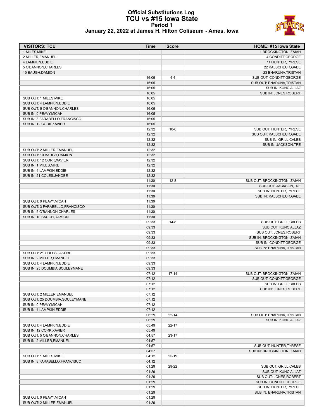#### **Official Substitutions Log TCU vs #15 Iowa State Period 1 January 22, 2022 at James H. Hilton Coliseum - Ames, Iowa**



| <b>VISITORS: TCU</b>                                      | Time           | <b>Score</b> | HOME: #15 Iowa State         |
|-----------------------------------------------------------|----------------|--------------|------------------------------|
| 1 MILES, MIKE                                             |                |              | 1 BROCKINGTON, IZAIAH        |
| 2 MILLER, EMANUEL                                         |                |              | 4 CONDITT, GEORGE            |
| 4 LAMPKIN, EDDIE                                          |                |              | 11 HUNTER, TYRESE            |
| 5 O'BANNON, CHARLES                                       |                |              | 22 KALSCHEUR, GABE           |
| 10 BAUGH, DAMION                                          |                |              | 23 ENARUNA, TRISTAN          |
|                                                           | 16:05          | $4 - 4$      | SUB OUT: CONDITT, GEORGE     |
|                                                           | 16:05          |              | SUB OUT: ENARUNA, TRISTAN    |
|                                                           | 16:05          |              | SUB IN: KUNC, ALJAZ          |
|                                                           | 16:05          |              | SUB IN: JONES, ROBERT        |
| SUB OUT: 1 MILES, MIKE                                    | 16:05          |              |                              |
| SUB OUT: 4 LAMPKIN, EDDIE                                 | 16:05          |              |                              |
| SUB OUT: 5 O'BANNON, CHARLES                              | 16:05          |              |                              |
| SUB IN: 0 PEAVY.MICAH                                     | 16:05          |              |                              |
| SUB IN: 3 FARABELLO, FRANCISCO<br>SUB IN: 12 CORK, XAVIER | 16:05<br>16:05 |              |                              |
|                                                           | 12:32          | $10-6$       | SUB OUT: HUNTER, TYRESE      |
|                                                           | 12:32          |              | SUB OUT: KALSCHEUR, GABE     |
|                                                           | 12:32          |              | SUB IN: GRILL, CALEB         |
|                                                           | 12:32          |              | SUB IN: JACKSON, TRE         |
| SUB OUT: 2 MILLER, EMANUEL                                | 12:32          |              |                              |
| SUB OUT: 10 BAUGH, DAMION                                 | 12:32          |              |                              |
| SUB OUT: 12 CORK, XAVIER                                  | 12:32          |              |                              |
| SUB IN: 1 MILES, MIKE                                     | 12:32          |              |                              |
| SUB IN: 4 LAMPKIN, EDDIE                                  | 12:32          |              |                              |
| SUB IN: 21 COLES, JAKOBE                                  | 12:32          |              |                              |
|                                                           | 11:30          | $12 - 8$     | SUB OUT: BROCKINGTON, IZAIAH |
|                                                           | 11:30          |              | SUB OUT: JACKSON, TRE        |
|                                                           | 11:30          |              | SUB IN: HUNTER, TYRESE       |
|                                                           | 11:30          |              | SUB IN: KALSCHEUR, GABE      |
| SUB OUT: 0 PEAVY, MICAH                                   | 11:30          |              |                              |
| SUB OUT: 3 FARABELLO, FRANCISCO                           | 11:30          |              |                              |
| SUB IN: 5 O'BANNON, CHARLES                               | 11:30          |              |                              |
| SUB IN: 10 BAUGH, DAMION                                  | 11:30          |              |                              |
|                                                           | 09:33          | $14 - 8$     | SUB OUT: GRILL, CALEB        |
|                                                           | 09:33          |              | SUB OUT: KUNC, ALJAZ         |
|                                                           | 09:33          |              | SUB OUT: JONES, ROBERT       |
|                                                           | 09:33          |              | SUB IN: BROCKINGTON, IZAIAH  |
|                                                           | 09:33          |              | SUB IN: CONDITT, GEORGE      |
|                                                           | 09:33          |              | SUB IN: ENARUNA, TRISTAN     |
| SUB OUT: 21 COLES, JAKOBE                                 | 09:33          |              |                              |
| SUB IN: 2 MILLER.EMANUEL                                  | 09:33          |              |                              |
| SUB OUT: 4 LAMPKIN, EDDIE                                 | 09:33          |              |                              |
| SUB IN: 25 DOUMBIA, SOULEYMANE                            | 09:33          |              |                              |
|                                                           | 07:12          | $17 - 14$    | SUB OUT: BROCKINGTON.IZAIAH  |
|                                                           | 07:12          |              | SUB OUT: CONDITT, GEORGE     |
|                                                           | 07:12          |              | SUB IN: GRILL, CALEB         |
|                                                           | 07:12          |              | SUB IN: JONES, ROBERT        |
| SUB OUT: 2 MILLER, EMANUEL                                | 07:12          |              |                              |
| SUB OUT: 25 DOUMBIA, SOULEYMANE                           | 07:12          |              |                              |
| SUB IN: 0 PEAVY, MICAH                                    | 07:12          |              |                              |
| SUB IN: 4 LAMPKIN, EDDIE                                  | 07:12          |              |                              |
|                                                           | 06:29          | $22 - 14$    | SUB OUT: ENARUNA, TRISTAN    |
|                                                           | 06:29          |              | SUB IN: KUNC, ALJAZ          |
| SUB OUT: 4 LAMPKIN, EDDIE                                 | 05:49          | $22 - 17$    |                              |
| SUB IN: 12 CORK, XAVIER                                   | 05:49          | $23 - 17$    |                              |
| SUB OUT: 5 O'BANNON, CHARLES<br>SUB IN: 2 MILLER.EMANUEL  | 04:57<br>04:57 |              |                              |
|                                                           | 04:57          |              | SUB OUT: HUNTER, TYRESE      |
|                                                           | 04:57          |              | SUB IN: BROCKINGTON, IZAIAH  |
| SUB OUT: 1 MILES, MIKE                                    | 04:12          | $25-19$      |                              |
| SUB IN: 3 FARABELLO, FRANCISCO                            | 04:12          |              |                              |
|                                                           | 01:29          | 29-22        | SUB OUT: GRILL, CALEB        |
|                                                           | 01:29          |              | SUB OUT: KUNC, ALJAZ         |
|                                                           | 01:29          |              | SUB OUT: JONES, ROBERT       |
|                                                           | 01:29          |              | SUB IN: CONDITT, GEORGE      |
|                                                           | 01:29          |              | SUB IN: HUNTER, TYRESE       |
|                                                           | 01:29          |              | SUB IN: ENARUNA, TRISTAN     |
| SUB OUT: 0 PEAVY, MICAH                                   | 01:29          |              |                              |
| SUB OUT: 2 MILLER, EMANUEL                                | 01:29          |              |                              |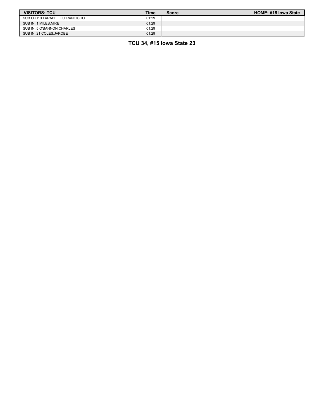| <b>VISITORS: TCU</b>           | <b>Time</b> | <b>Score</b> | HOME: #15 Iowa State |
|--------------------------------|-------------|--------------|----------------------|
| SUB OUT: 3 FARABELLO.FRANCISCO | 01:29       |              |                      |
| SUB IN: 1 MILES.MIKE           | 01:29       |              |                      |
| SUB IN: 5 O'BANNON.CHARLES     | 01:29       |              |                      |
| SUB IN: 21 COLES, JAKOBE       | 01:29       |              |                      |

**TCU 34, #15 Iowa State 23**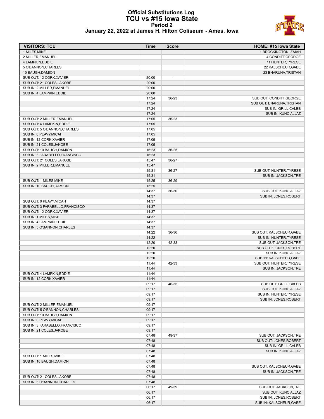# **Official Substitutions Log TCU vs #15 Iowa State Period 2**



### **January 22, 2022 at James H. Hilton Coliseum - Ames, Iowa**

| <b>VISITORS: TCU</b>                                      | Time           | <b>Score</b> | HOME: #15 Iowa State      |
|-----------------------------------------------------------|----------------|--------------|---------------------------|
| 1 MILES, MIKE                                             |                |              | 1 BROCKINGTON.IZAIAH      |
| 2 MILLER, EMANUEL                                         |                |              | 4 CONDITT, GEORGE         |
| 4 LAMPKIN, EDDIE                                          |                |              | 11 HUNTER, TYRESE         |
| 5 O'BANNON, CHARLES                                       |                |              | 22 KALSCHEUR, GABE        |
| 10 BAUGH, DAMION                                          |                |              | 23 ENARUNA, TRISTAN       |
| SUB OUT: 12 CORK, XAVIER                                  | 20:00          |              |                           |
| SUB OUT: 21 COLES, JAKOBE                                 | 20:00          |              |                           |
| SUB IN: 2 MILLER, EMANUEL                                 | 20:00          |              |                           |
| SUB IN: 4 LAMPKIN, EDDIE                                  | 20:00          |              |                           |
|                                                           | 17:24          | 36-23        | SUB OUT: CONDITT, GEORGE  |
|                                                           | 17:24          |              | SUB OUT: ENARUNA, TRISTAN |
|                                                           | 17:24          |              | SUB IN: GRILL, CALEB      |
|                                                           | 17:24          |              | SUB IN: KUNC, ALJAZ       |
| SUB OUT: 2 MILLER, EMANUEL                                | 17:05          | 36-23        |                           |
| SUB OUT: 4 LAMPKIN, EDDIE<br>SUB OUT: 5 O'BANNON, CHARLES | 17:05<br>17:05 |              |                           |
| SUB IN: 0 PEAVY, MICAH                                    | 17:05          |              |                           |
| SUB IN: 12 CORK, XAVIER                                   | 17:05          |              |                           |
| SUB IN: 21 COLES, JAKOBE                                  | 17:05          |              |                           |
| SUB OUT: 10 BAUGH, DAMION                                 | 16:23          | 36-25        |                           |
| SUB IN: 3 FARABELLO, FRANCISCO                            | 16:23          |              |                           |
| SUB OUT: 21 COLES, JAKOBE                                 | 15:47          | 36-27        |                           |
| SUB IN: 2 MILLER, EMANUEL                                 | 15:47          |              |                           |
|                                                           | 15:31          | 36-27        | SUB OUT: HUNTER, TYRESE   |
|                                                           | 15:31          |              | SUB IN: JACKSON, TRE      |
| SUB OUT: 1 MILES, MIKE                                    | 15:25          | 36-29        |                           |
| SUB IN: 10 BAUGH, DAMION                                  | 15:25          |              |                           |
|                                                           | 14:37          | 36-30        | SUB OUT: KUNC, ALJAZ      |
|                                                           | 14:37          |              | SUB IN: JONES, ROBERT     |
| SUB OUT: 0 PEAVY, MICAH                                   | 14:37          |              |                           |
| SUB OUT: 3 FARABELLO, FRANCISCO                           | 14:37          |              |                           |
| SUB OUT: 12 CORK, XAVIER                                  | 14:37          |              |                           |
| SUB IN: 1 MILES, MIKE                                     | 14:37          |              |                           |
| SUB IN: 4 LAMPKIN, EDDIE                                  | 14:37          |              |                           |
| SUB IN: 5 O'BANNON, CHARLES                               | 14:37          |              |                           |
|                                                           | 14:22          | 36-30        | SUB OUT: KALSCHEUR, GABE  |
|                                                           | 14:22          |              | SUB IN: HUNTER, TYRESE    |
|                                                           | 12:20          | 42-33        | SUB OUT: JACKSON, TRE     |
|                                                           | 12:20          |              | SUB OUT: JONES, ROBERT    |
|                                                           | 12:20          |              | SUB IN: KUNC, ALJAZ       |
|                                                           | 12:20          |              | SUB IN: KALSCHEUR, GABE   |
|                                                           | 11:44          | 42-33        | SUB OUT: HUNTER, TYRESE   |
|                                                           | 11:44          |              | SUB IN: JACKSON, TRE      |
| SUB OUT: 4 LAMPKIN, EDDIE                                 | 11:44          |              |                           |
| SUB IN: 12 CORK, XAVIER                                   | 11:44          |              |                           |
|                                                           | 09:17          | 46-35        | SUB OUT: GRILL, CALEB     |
|                                                           | 09:17          |              | SUB OUT: KUNC, ALJAZ      |
|                                                           | 09:17          |              | SUB IN: HUNTER, TYRESE    |
|                                                           | 09:17          |              | SUB IN: JONES, ROBERT     |
| SUB OUT: 2 MILLER, EMANUEL                                | 09:17          |              |                           |
| SUB OUT: 5 O'BANNON, CHARLES<br>SUB OUT: 10 BAUGH, DAMION | 09:17<br>09:17 |              |                           |
| SUB IN: 0 PEAVY, MICAH                                    | 09:17          |              |                           |
| SUB IN: 3 FARABELLO, FRANCISCO                            | 09:17          |              |                           |
| SUB IN: 21 COLES, JAKOBE                                  | 09:17          |              |                           |
|                                                           | 07:48          | 49-37        | SUB OUT: JACKSON, TRE     |
|                                                           | 07:48          |              | SUB OUT: JONES, ROBERT    |
|                                                           | 07:48          |              | SUB IN: GRILL, CALEB      |
|                                                           | 07:48          |              | SUB IN: KUNC, ALJAZ       |
| SUB OUT: 1 MILES, MIKE                                    | 07:48          |              |                           |
| SUB IN: 10 BAUGH, DAMION                                  | 07:48          |              |                           |
|                                                           | 07:48          |              | SUB OUT: KALSCHEUR, GABE  |
|                                                           | 07:48          |              | SUB IN: JACKSON, TRE      |
| SUB OUT: 21 COLES, JAKOBE                                 | 07:48          |              |                           |
| SUB IN: 5 O'BANNON, CHARLES                               | 07:48          |              |                           |
|                                                           | 06:17          | 49-39        | SUB OUT: JACKSON, TRE     |
|                                                           | 06:17          |              | SUB OUT: KUNC, ALJAZ      |
|                                                           | 06:17          |              | SUB IN: JONES, ROBERT     |
|                                                           | 06:17          |              | SUB IN: KALSCHEUR, GABE   |